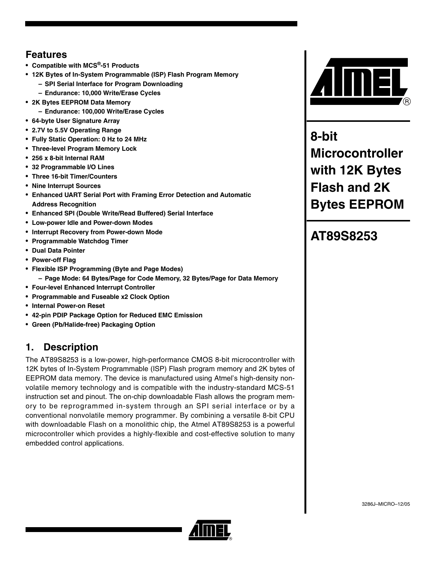# **Features**

- **Compatible with MCS®-51 Products**
- **12K Bytes of In-System Programmable (ISP) Flash Program Memory**
	- **SPI Serial Interface for Program Downloading**
	- **Endurance: 10,000 Write/Erase Cycles**
- **2K Bytes EEPROM Data Memory**
	- **Endurance: 100,000 Write/Erase Cycles**
- **64-byte User Signature Array**
- **2.7V to 5.5V Operating Range**
- **Fully Static Operation: 0 Hz to 24 MHz**
- **Three-level Program Memory Lock**
- **256 x 8-bit Internal RAM**
- **32 Programmable I/O Lines**
- **Three 16-bit Timer/Counters**
- **Nine Interrupt Sources**
- **Enhanced UART Serial Port with Framing Error Detection and Automatic Address Recognition**
- **Enhanced SPI (Double Write/Read Buffered) Serial Interface**
- **Low-power Idle and Power-down Modes**
- **Interrupt Recovery from Power-down Mode**
- **Programmable Watchdog Timer**
- **Dual Data Pointer**
- **Power-off Flag**
- **Flexible ISP Programming (Byte and Page Modes)**
	- **Page Mode: 64 Bytes/Page for Code Memory, 32 Bytes/Page for Data Memory**
- **Four-level Enhanced Interrupt Controller**
- **Programmable and Fuseable x2 Clock Option**
- **Internal Power-on Reset**
- **42-pin PDIP Package Option for Reduced EMC Emission**
- **Green (Pb/Halide-free) Packaging Option**

# **1. Description**

The AT89S8253 is a low-power, high-performance CMOS 8-bit microcontroller with 12K bytes of In-System Programmable (ISP) Flash program memory and 2K bytes of EEPROM data memory. The device is manufactured using Atmel's high-density nonvolatile memory technology and is compatible with the industry-standard MCS-51 instruction set and pinout. The on-chip downloadable Flash allows the program memory to be reprogrammed in-system through an SPI serial interface or by a conventional nonvolatile memory programmer. By combining a versatile 8-bit CPU with downloadable Flash on a monolithic chip, the Atmel AT89S8253 is a powerful microcontroller which provides a highly-flexible and cost-effective solution to many embedded control applications.



**8-bit Microcontroller with 12K Bytes Flash and 2K Bytes EEPROM**

# **AT89S8253**

3286J–MICRO–12/05

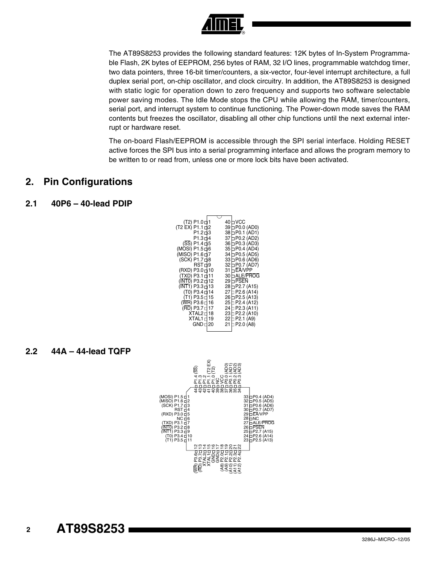

The AT89S8253 provides the following standard features: 12K bytes of In-System Programmable Flash, 2K bytes of EEPROM, 256 bytes of RAM, 32 I/O lines, programmable watchdog timer, two data pointers, three 16-bit timer/counters, a six-vector, four-level interrupt architecture, a full duplex serial port, on-chip oscillator, and clock circuitry. In addition, the AT89S8253 is designed with static logic for operation down to zero frequency and supports two software selectable power saving modes. The Idle Mode stops the CPU while allowing the RAM, timer/counters, serial port, and interrupt system to continue functioning. The Power-down mode saves the RAM contents but freezes the oscillator, disabling all other chip functions until the next external interrupt or hardware reset.

The on-board Flash/EEPROM is accessible through the SPI serial interface. Holding RESET active forces the SPI bus into a serial programming interface and allows the program memory to be written to or read from, unless one or more lock bits have been activated.

### **2. Pin Configurations**

#### **2.1 40P6 – 40-lead PDIP**

| (T2) P1.0 d 1              |  | 40 h VCC            |
|----------------------------|--|---------------------|
| (T2 EX) P1.1 d2            |  | 39 h P0.0 (AD0)     |
| P1.2 d3                    |  | 38 □ P0.1 (AD1)     |
| P1.3 d 4                   |  | 37 h P0.2 (AD2)     |
|                            |  |                     |
| $(SS)$ P1.4 $\square$ 5    |  | 36 □ P0.3 (AD3)     |
| (MOSI) P1.5 d 6            |  | 35 D P0.4 (AD4)     |
| (MISO) P1.6 d7             |  | 34 □ P0.5 (AD5)     |
| (SCK) P1.7 d8              |  | 33 □ P0.6 (AD6)     |
| RST d9                     |  | 32 □ P0.7 (AD7)     |
| (RXD) P3.0 d10             |  | $31 \Box$ EA/VPP    |
|                            |  |                     |
| (TXD) P3.1 ⊏11             |  | 30 h ALE/PROG       |
| (INT0) P3.2 d 12           |  | 29 h PSEN           |
| (INT1) P3.3 d13            |  | 28 D P2.7 (A15)     |
| (T0) P3.4 d 14             |  | 27 h P2.6 (A14)     |
| (T1) P3.5 d 15             |  | 26 h P2.5 (A13)     |
| (WR) P3.6 d 16             |  | 25 h P2.4 (A12)     |
|                            |  |                     |
| (RD) P3.7 d 17             |  | 24 D P2.3 (A11)     |
| $XTAL2 \Box 18$            |  | 23□P2.2 (A10)       |
| $XTAL1 \Box 19$            |  | $22 \Box P2.1$ (A9) |
| $GND \rightrightarrows 20$ |  | 21 □ P2.0 (A8)      |
|                            |  |                     |

#### **2.2 44A – 44-lead TQFP**



#### **2 AT89S8253**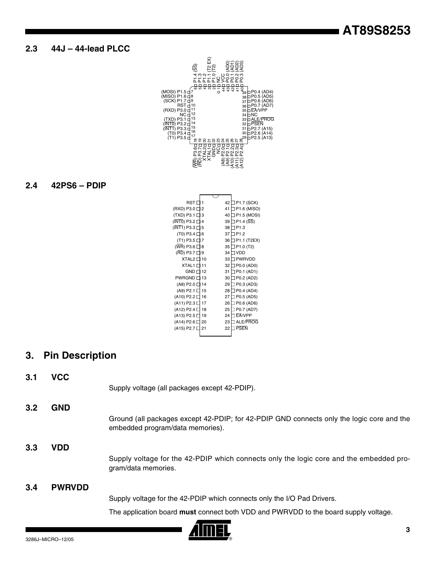### **2.3 44J – 44-lead PLCC**

| (MOSI) P1.5 [<br>7<br>(MISO) P1.6 ⊑<br>8<br>9<br>(SCK) P1.7 [<br>10<br>RST r<br>11<br>(RXD) P3.0 [<br>12<br>NC 1<br>13<br>(TXD) P3.1<br>14<br>(INT0) P3.2<br>15<br>(INT1) P3.3 [<br>16<br>(T0) P3.4 D<br>17<br>(T1) P3.5 E<br>œ<br>c<br>m | <b>بن</b> ت<br>ف ف<br>$\Omega$<br>ನ<br>ನ ನ<br>Ń | α<br>ſ<br>4 a<br>ನೆ ನಿ ನಿ<br>نج<br>م<br>Á9 | 42<br>、<br>39<br>38<br>37<br>36<br>35<br>34<br>33<br>32<br>31<br>30<br>$8^{29}$<br>$\frac{1}{2}$<br>П<br>П<br>ن ن<br>4<br>5.<br>5<br>R<br>ၣ<br>A12) | ] P0.4 (AD4)<br>(AD5) P0.5<br>] P0.6 (AD6)<br>P0.7 (AD7)<br>EA/VPP<br>ו NC<br>ALE/PROG<br>PSEN<br>(A15) P2.7<br>(A14) P2.6<br>(A13) P2.5 ב |
|-------------------------------------------------------------------------------------------------------------------------------------------------------------------------------------------------------------------------------------------|-------------------------------------------------|--------------------------------------------|-----------------------------------------------------------------------------------------------------------------------------------------------------|--------------------------------------------------------------------------------------------------------------------------------------------|
|                                                                                                                                                                                                                                           |                                                 |                                            |                                                                                                                                                     |                                                                                                                                            |
| RST [                                                                                                                                                                                                                                     | 1                                               | 42                                         | P1.7 (SCK)                                                                                                                                          |                                                                                                                                            |
| (RXD) P3.0 [<br>(TXD) P3.1 [                                                                                                                                                                                                              | $\overline{2}$<br>3                             | 41<br>40                                   |                                                                                                                                                     | P1.6 (MISO)<br>] P1.5 (MOSI)                                                                                                               |
| $(INT0)$ P3.2                                                                                                                                                                                                                             | 4                                               | 39                                         | P1.4 (SS)                                                                                                                                           |                                                                                                                                            |
| (INT1) P3.3 [                                                                                                                                                                                                                             | 5                                               | 38                                         | l P1.3                                                                                                                                              |                                                                                                                                            |
| (T0) P3.4 [                                                                                                                                                                                                                               | 6                                               | 37                                         | J P1.2                                                                                                                                              |                                                                                                                                            |
| (T1) P3.5 [                                                                                                                                                                                                                               | 7                                               | 36                                         |                                                                                                                                                     | P1.1 (T2EX)                                                                                                                                |
| (WR) P3.6 [                                                                                                                                                                                                                               | 8                                               | 35                                         | P1.0 (T2)                                                                                                                                           |                                                                                                                                            |
| (RD) P3.7                                                                                                                                                                                                                                 | 9                                               | 34                                         | I VDD                                                                                                                                               |                                                                                                                                            |
| XTAL2 [                                                                                                                                                                                                                                   | 10                                              | 33                                         | <b>PWRVDD</b>                                                                                                                                       |                                                                                                                                            |
| <b>XTAL1[</b><br>GND [                                                                                                                                                                                                                    | 11<br>12                                        | 32<br>31                                   | ] P0.0 (AD0)                                                                                                                                        |                                                                                                                                            |
| <b>PWRGND [</b>                                                                                                                                                                                                                           | 13                                              | 30                                         | ] P0.1 (AD1)<br>] P0.2 (AD2)                                                                                                                        |                                                                                                                                            |
| (A8) P2.0 [                                                                                                                                                                                                                               | 14                                              | 29                                         | ] P0.3 (AD3)                                                                                                                                        |                                                                                                                                            |
| (A9) P2.1 [                                                                                                                                                                                                                               | 15                                              | 28                                         | ] P0.4 (AD4)                                                                                                                                        |                                                                                                                                            |
| (A10) P2.2 [                                                                                                                                                                                                                              | 16                                              | 27                                         | l P0.5 (AD5)                                                                                                                                        |                                                                                                                                            |
| (A11) P2.3                                                                                                                                                                                                                                | 17                                              | 26                                         | P0.6 (AD6)                                                                                                                                          |                                                                                                                                            |
| (A12) P2.4 [                                                                                                                                                                                                                              | 18                                              | 25                                         | P0.7 (AD7)                                                                                                                                          |                                                                                                                                            |
| (A13) P2.5 [                                                                                                                                                                                                                              | 19                                              | 24                                         | ] EA/VPP                                                                                                                                            |                                                                                                                                            |
| (A14) P2.6 [                                                                                                                                                                                                                              | 20                                              | 23                                         | ALE/PROG                                                                                                                                            |                                                                                                                                            |
| (A15) P2.7                                                                                                                                                                                                                                | 21                                              | 22                                         | <b>PSEN</b>                                                                                                                                         |                                                                                                                                            |
|                                                                                                                                                                                                                                           |                                                 |                                            |                                                                                                                                                     |                                                                                                                                            |

# **2.4 42PS6 – PDIP**

# **3. Pin Description**

**3.1 VCC**

Supply voltage (all packages except 42-PDIP).

**3.2 GND**

Ground (all packages except 42-PDIP; for 42-PDIP GND connects only the logic core and the embedded program/data memories).

#### **3.3 VDD**

Supply voltage for the 42-PDIP which connects only the logic core and the embedded program/data memories.

#### **3.4 PWRVDD**

Supply voltage for the 42-PDIP which connects only the I/O Pad Drivers.

The application board **must** connect both VDD and PWRVDD to the board supply voltage.

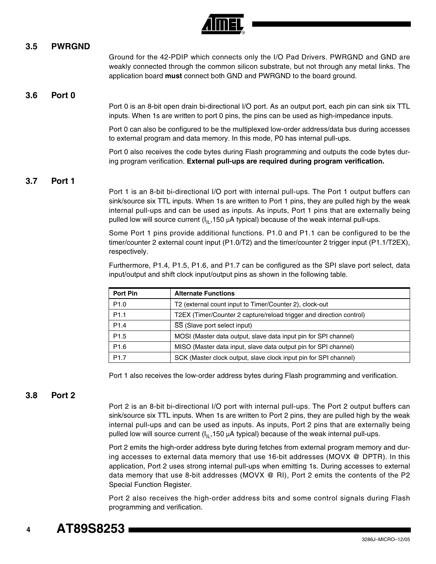

#### **3.5 PWRGND**

Ground for the 42-PDIP which connects only the I/O Pad Drivers. PWRGND and GND are weakly connected through the common silicon substrate, but not through any metal links. The application board **must** connect both GND and PWRGND to the board ground.

#### **3.6 Port 0**

Port 0 is an 8-bit open drain bi-directional I/O port. As an output port, each pin can sink six TTL inputs. When 1s are written to port 0 pins, the pins can be used as high-impedance inputs.

Port 0 can also be configured to be the multiplexed low-order address/data bus during accesses to external program and data memory. In this mode, P0 has internal pull-ups.

Port 0 also receives the code bytes during Flash programming and outputs the code bytes during program verification. **External pull-ups are required during program verification.** 

#### **3.7 Port 1**

Port 1 is an 8-bit bi-directional I/O port with internal pull-ups. The Port 1 output buffers can sink/source six TTL inputs. When 1s are written to Port 1 pins, they are pulled high by the weak internal pull-ups and can be used as inputs. As inputs, Port 1 pins that are externally being pulled low will source current  $(I_{II},150 \mu A$  typical) because of the weak internal pull-ups.

Some Port 1 pins provide additional functions. P1.0 and P1.1 can be configured to be the timer/counter 2 external count input (P1.0/T2) and the timer/counter 2 trigger input (P1.1/T2EX), respectively.

Furthermore, P1.4, P1.5, P1.6, and P1.7 can be configured as the SPI slave port select, data input/output and shift clock input/output pins as shown in the following table.

| Port Pin         | <b>Alternate Functions</b>                                          |
|------------------|---------------------------------------------------------------------|
| P <sub>1.0</sub> | T2 (external count input to Timer/Counter 2), clock-out             |
| P <sub>1.1</sub> | T2EX (Timer/Counter 2 capture/reload trigger and direction control) |
| P <sub>1.4</sub> | SS (Slave port select input)                                        |
| P <sub>1.5</sub> | MOSI (Master data output, slave data input pin for SPI channel)     |
| P1.6             | MISO (Master data input, slave data output pin for SPI channel)     |
| P <sub>1.7</sub> | SCK (Master clock output, slave clock input pin for SPI channel)    |

Port 1 also receives the low-order address bytes during Flash programming and verification.

#### **3.8 Port 2**

Port 2 is an 8-bit bi-directional I/O port with internal pull-ups. The Port 2 output buffers can sink/source six TTL inputs. When 1s are written to Port 2 pins, they are pulled high by the weak internal pull-ups and can be used as inputs. As inputs, Port 2 pins that are externally being pulled low will source current  $(I<sub>II</sub>,150 \mu A$  typical) because of the weak internal pull-ups.

Port 2 emits the high-order address byte during fetches from external program memory and during accesses to external data memory that use 16-bit addresses (MOVX @ DPTR). In this application, Port 2 uses strong internal pull-ups when emitting 1s. During accesses to external data memory that use 8-bit addresses (MOVX @ RI), Port 2 emits the contents of the P2 Special Function Register.

Port 2 also receives the high-order address bits and some control signals during Flash programming and verification.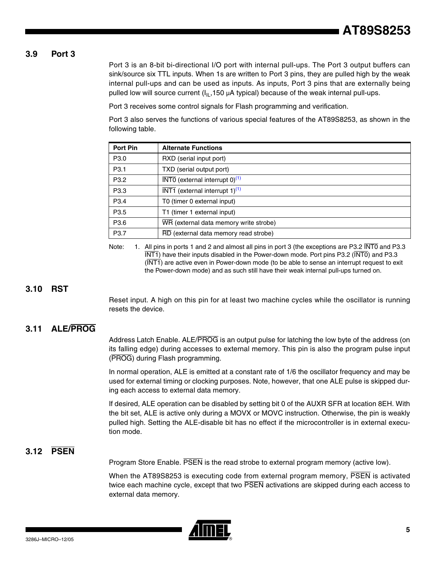#### **3.9 Port 3**

Port 3 is an 8-bit bi-directional I/O port with internal pull-ups. The Port 3 output buffers can sink/source six TTL inputs. When 1s are written to Port 3 pins, they are pulled high by the weak internal pull-ups and can be used as inputs. As inputs, Port 3 pins that are externally being pulled low will source current  $(I<sub>II</sub>,150 \mu A$  typical) because of the weak internal pull-ups.

Port 3 receives some control signals for Flash programming and verification.

Port 3 also serves the functions of various special features of the AT89S8253, as shown in the following table.

| Port Pin         | <b>Alternate Functions</b>                                     |
|------------------|----------------------------------------------------------------|
| P <sub>3.0</sub> | RXD (serial input port)                                        |
| P <sub>3.1</sub> | TXD (serial output port)                                       |
| P <sub>3.2</sub> | $\overline{\text{INT0}}$ (external interrupt 0) <sup>(1)</sup> |
| P <sub>3.3</sub> | $\overline{\text{INT1}}$ (external interrupt 1) <sup>(1)</sup> |
| P <sub>3.4</sub> | T0 (timer 0 external input)                                    |
| P <sub>3.5</sub> | T1 (timer 1 external input)                                    |
| P <sub>3.6</sub> | WR (external data memory write strobe)                         |
| P <sub>3.7</sub> | RD (external data memory read strobe)                          |

<span id="page-4-0"></span>Note: 1. All pins in ports 1 and 2 and almost all pins in port 3 (the exceptions are P3.2 INTO and P3.3 INT1) have their inputs disabled in the Power-down mode. Port pins P3.2 (INT0) and P3.3 (INT1) are active even in Power-down mode (to be able to sense an interrupt request to exit the Power-down mode) and as such still have their weak internal pull-ups turned on.

#### **3.10 RST**

Reset input. A high on this pin for at least two machine cycles while the oscillator is running resets the device.

#### **3.11 ALE/PROG**

Address Latch Enable. ALE/PROG is an output pulse for latching the low byte of the address (on its falling edge) during accesses to external memory. This pin is also the program pulse input (PROG) during Flash programming.

In normal operation, ALE is emitted at a constant rate of 1/6 the oscillator frequency and may be used for external timing or clocking purposes. Note, however, that one ALE pulse is skipped during each access to external data memory.

If desired, ALE operation can be disabled by setting bit 0 of the AUXR SFR at location 8EH. With the bit set, ALE is active only during a MOVX or MOVC instruction. Otherwise, the pin is weakly pulled high. Setting the ALE-disable bit has no effect if the microcontroller is in external execution mode.

# **3.12 PSEN**

Program Store Enable. **PSEN** is the read strobe to external program memory (active low).

When the AT89S8253 is executing code from external program memory, PSEN is activated twice each machine cycle, except that two  $\overline{\text{PSEN}}$  activations are skipped during each access to external data memory.

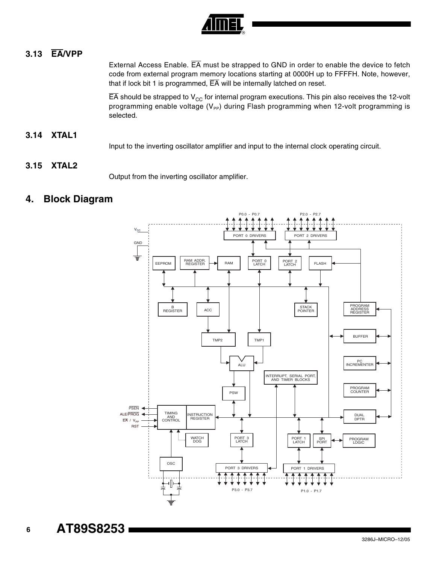

# **3.13 EA/VPP**

External Access Enable. EA must be strapped to GND in order to enable the device to fetch code from external program memory locations starting at 0000H up to FFFFH. Note, however, that if lock bit 1 is programmed,  $\overline{EA}$  will be internally latched on reset.

 $\overline{EA}$  should be strapped to V<sub>CC</sub> for internal program executions. This pin also receives the 12-volt programming enable voltage  $(V_{PP})$  during Flash programming when 12-volt programming is selected.

### **3.14 XTAL1**

Input to the inverting oscillator amplifier and input to the internal clock operating circuit.

#### **3.15 XTAL2**

Output from the inverting oscillator amplifier.

# **4. Block Diagram**



**AT89S8253** 

 **6**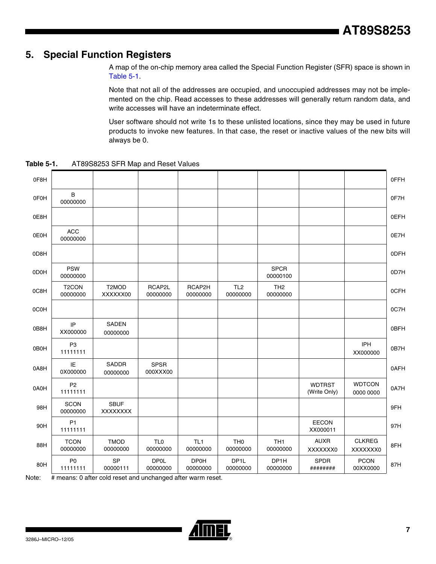# **5. Special Function Registers**

A map of the on-chip memory area called the Special Function Register (SFR) space is shown in [Table 5-1](#page-6-0).

Note that not all of the addresses are occupied, and unoccupied addresses may not be implemented on the chip. Read accesses to these addresses will generally return random data, and write accesses will have an indeterminate effect.

User software should not write 1s to these unlisted locations, since they may be used in future products to invoke new features. In that case, the reset or inactive values of the new bits will always be 0.

0F8H 0FFH  $0FOH$  B  $00000000$ <sup>00000000</sup> 0F7H 0E8H 0EFH 0E0H ACC 00000000 <sup>00000000</sup> 0E7H 0D8H 0DFH 0D0H PSW 00000000 SPCR 00000100 007H 0C8H T2CON 00000000 T2MOD XXXXXX00 RCAP2L 00000000 RCAP2H 00000000 TL2 00000000 TH2  $1$ H<sub>2</sub> 000000000  $\vert$  0CFH 0C0H 0C7H  $\overline{OB8H}$  IP XX000000 SADEN 00000000 0BFH  $0B0H$  P3 11111111 IPH XX000000 0B7H  $0A8H$  IE 0X000000 SADDR 00000000 SPSR 000XXX00 0AFH  $0A0H$   $P2$ 11111111 WDTRST (Write Only) **WDTCON** 0000 0000 0A7H 98H SCON<br>00000000 SBUF XXXXXXXX 9FH 90H P1<br>11111111 EECON XX000011 97H 88H TCON 00000000 TMOD 00000000 TL0 00000000 TL1 00000000 TH0 00000000 TH1 00000000 AUXR XXXXXXX0 CLKREG XXXXXXX0 8FH  $80H$   $P0$ 11111111 SP 00000111 DP0L 00000000 DP0H 00000000 DP1L 00000000 DP1H 00000000 SPDR ######## PCON  $00XX0000$  87H

<span id="page-6-0"></span>**Table 5-1.** AT89S8253 SFR Map and Reset Values

Note: # means: 0 after cold reset and unchanged after warm reset.

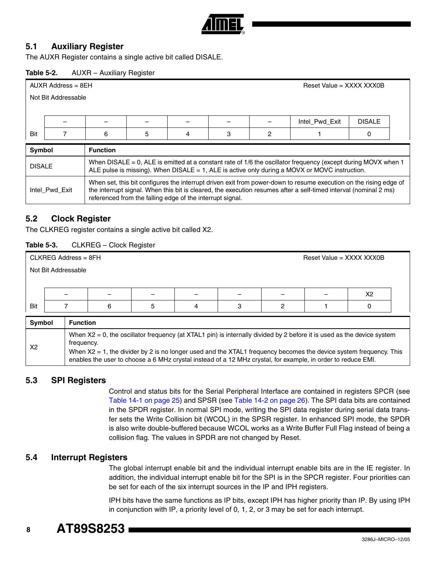

#### **5.1 Auxiliary Register**

The AUXR Register contains a single active bit called DISALE.

#### **Table 5-2.** AUXR – Auxiliary Register

| $AUXR$ Address = $8EH$<br>Reset Value = $XXX$ XXX XXX0B |                     |                                                                                                                                                                                                                                                                                                    |                                                                                                                                                                                                                   |  |  |  |                |               |  |
|---------------------------------------------------------|---------------------|----------------------------------------------------------------------------------------------------------------------------------------------------------------------------------------------------------------------------------------------------------------------------------------------------|-------------------------------------------------------------------------------------------------------------------------------------------------------------------------------------------------------------------|--|--|--|----------------|---------------|--|
|                                                         | Not Bit Addressable |                                                                                                                                                                                                                                                                                                    |                                                                                                                                                                                                                   |  |  |  |                |               |  |
|                                                         |                     |                                                                                                                                                                                                                                                                                                    |                                                                                                                                                                                                                   |  |  |  |                |               |  |
|                                                         |                     |                                                                                                                                                                                                                                                                                                    |                                                                                                                                                                                                                   |  |  |  | Intel Pwd Exit | <b>DISALE</b> |  |
| Bit                                                     |                     | 5<br>3<br>6<br>2<br>4<br>0                                                                                                                                                                                                                                                                         |                                                                                                                                                                                                                   |  |  |  |                |               |  |
| Symbol                                                  |                     | <b>Function</b>                                                                                                                                                                                                                                                                                    |                                                                                                                                                                                                                   |  |  |  |                |               |  |
| <b>DISALE</b>                                           |                     |                                                                                                                                                                                                                                                                                                    | When DISALE = 0, ALE is emitted at a constant rate of 1/6 the oscillator frequency (except during MOVX when 1<br>ALE pulse is missing). When DISALE $= 1$ , ALE is active only during a MOVX or MOVC instruction. |  |  |  |                |               |  |
|                                                         | Intel_Pwd_Exit      | When set, this bit configures the interrupt driven exit from power-down to resume execution on the rising edge of<br>the interrupt signal. When this bit is cleared, the execution resumes after a self-timed interval (nominal 2 ms)<br>referenced from the falling edge of the interrupt signal. |                                                                                                                                                                                                                   |  |  |  |                |               |  |

#### **5.2 Clock Register**

The CLKREG register contains a single active bit called X2.

| Table 5-3. |  | CLKREG - Clock Register |
|------------|--|-------------------------|
|------------|--|-------------------------|

| $CLKREG Address = 8FH$ |                     |   |  |  |  |  | Reset Value = XXXX XXX0B |                |  |
|------------------------|---------------------|---|--|--|--|--|--------------------------|----------------|--|
|                        | Not Bit Addressable |   |  |  |  |  |                          |                |  |
|                        |                     |   |  |  |  |  |                          |                |  |
|                        |                     | - |  |  |  |  | -                        | X <sub>2</sub> |  |
| Bit                    | 5<br>6              |   |  |  |  |  |                          |                |  |
|                        | Cumbol<br>Eunotion  |   |  |  |  |  |                          |                |  |

| <b>Symbol</b>  | <b>Function</b>                                                                                                                                                                                                                                                                                                                                                                 |
|----------------|---------------------------------------------------------------------------------------------------------------------------------------------------------------------------------------------------------------------------------------------------------------------------------------------------------------------------------------------------------------------------------|
| X <sub>2</sub> | When $X2 = 0$ , the oscillator frequency (at XTAL1 pin) is internally divided by 2 before it is used as the device system<br>trequency.<br>When $X2 = 1$ , the divider by 2 is no longer used and the XTAL1 frequency becomes the device system frequency. This<br>enables the user to choose a 6 MHz crystal instead of a 12 MHz crystal, for example, in order to reduce EMI. |

#### **5.3 SPI Registers**

Control and status bits for the Serial Peripheral Interface are contained in registers SPCR (see [Table 14-1 on page 25](#page-24-0)) and SPSR (see [Table 14-2 on page 26\)](#page-25-0). The SPI data bits are contained in the SPDR register. In normal SPI mode, writing the SPI data register during serial data transfer sets the Write Collision bit (WCOL) in the SPSR register. In enhanced SPI mode, the SPDR is also write double-buffered because WCOL works as a Write Buffer Full Flag instead of being a collision flag. The values in SPDR are not changed by Reset.

#### **5.4 Interrupt Registers**

The global interrupt enable bit and the individual interrupt enable bits are in the IE register. In addition, the individual interrupt enable bit for the SPI is in the SPCR register. Four priorities can be set for each of the six interrupt sources in the IP and IPH registers.

IPH bits have the same functions as IP bits, except IPH has higher priority than IP. By using IPH in conjunction with IP, a priority level of 0, 1, 2, or 3 may be set for each interrupt.

#### **8 AT89S8253**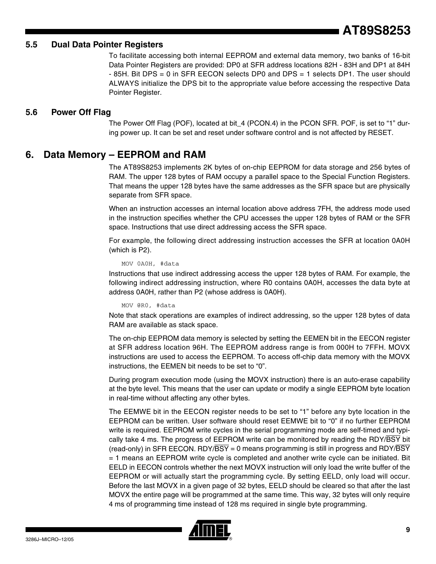# **AT89S8253**

#### **5.5 Dual Data Pointer Registers**

To facilitate accessing both internal EEPROM and external data memory, two banks of 16-bit Data Pointer Registers are provided: DP0 at SFR address locations 82H - 83H and DP1 at 84H - 85H. Bit DPS = 0 in SFR EECON selects DP0 and DPS = 1 selects DP1. The user should ALWAYS initialize the DPS bit to the appropriate value before accessing the respective Data Pointer Register.

#### **5.6 Power Off Flag**

The Power Off Flag (POF), located at bit 4 (PCON.4) in the PCON SFR. POF, is set to "1" during power up. It can be set and reset under software control and is not affected by RESET.

#### **6. Data Memory – EEPROM and RAM**

The AT89S8253 implements 2K bytes of on-chip EEPROM for data storage and 256 bytes of RAM. The upper 128 bytes of RAM occupy a parallel space to the Special Function Registers. That means the upper 128 bytes have the same addresses as the SFR space but are physically separate from SFR space.

When an instruction accesses an internal location above address 7FH, the address mode used in the instruction specifies whether the CPU accesses the upper 128 bytes of RAM or the SFR space. Instructions that use direct addressing access the SFR space.

For example, the following direct addressing instruction accesses the SFR at location 0A0H (which is P2).

MOV 0A0H, #data

Instructions that use indirect addressing access the upper 128 bytes of RAM. For example, the following indirect addressing instruction, where R0 contains 0A0H, accesses the data byte at address 0A0H, rather than P2 (whose address is 0A0H).

MOV @R0, #data

Note that stack operations are examples of indirect addressing, so the upper 128 bytes of data RAM are available as stack space.

The on-chip EEPROM data memory is selected by setting the EEMEN bit in the EECON register at SFR address location 96H. The EEPROM address range is from 000H to 7FFH. MOVX instructions are used to access the EEPROM. To access off-chip data memory with the MOVX instructions, the EEMEN bit needs to be set to "0".

During program execution mode (using the MOVX instruction) there is an auto-erase capability at the byte level. This means that the user can update or modify a single EEPROM byte location in real-time without affecting any other bytes.

The EEMWE bit in the EECON register needs to be set to "1" before any byte location in the EEPROM can be written. User software should reset EEMWE bit to "0" if no further EEPROM write is required. EEPROM write cycles in the serial programming mode are self-timed and typically take 4 ms. The progress of EEPROM write can be monitored by reading the RDY/BSY bit (read-only) in SFR EECON. RDY/ $\overline{BSY}$  = 0 means programming is still in progress and RDY/ $\overline{BSY}$ = 1 means an EEPROM write cycle is completed and another write cycle can be initiated. Bit EELD in EECON controls whether the next MOVX instruction will only load the write buffer of the EEPROM or will actually start the programming cycle. By setting EELD, only load will occur. Before the last MOVX in a given page of 32 bytes, EELD should be cleared so that after the last MOVX the entire page will be programmed at the same time. This way, 32 bytes will only require 4 ms of programming time instead of 128 ms required in single byte programming.

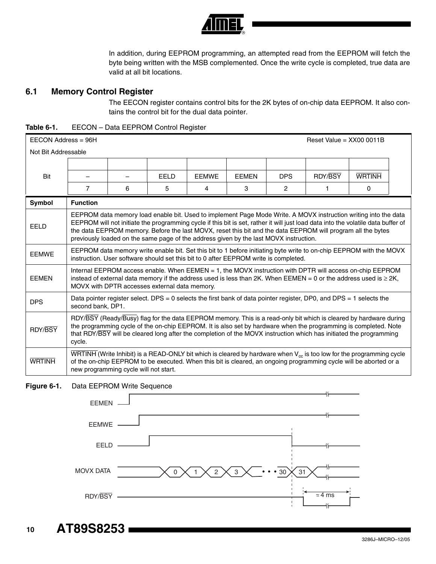

In addition, during EEPROM programming, an attempted read from the EEPROM will fetch the byte being written with the MSB complemented. Once the write cycle is completed, true data are valid at all bit locations.

### **6.1 Memory Control Register**

The EECON register contains control bits for the 2K bytes of on-chip data EEPROM. It also contains the control bit for the dual data pointer.

| Table 6-1. | EECON - Data EEPROM Control Register |  |
|------------|--------------------------------------|--|
|            |                                      |  |

| $EECON$ Address = 96H | Reset Value = $XX000011B$                                                                                                                |                                                                                                                                                                                                                                                                                                                                                            |       |              |              |                |                                                                                                                                                                                                                                                                                                                                                                     |               |  |
|-----------------------|------------------------------------------------------------------------------------------------------------------------------------------|------------------------------------------------------------------------------------------------------------------------------------------------------------------------------------------------------------------------------------------------------------------------------------------------------------------------------------------------------------|-------|--------------|--------------|----------------|---------------------------------------------------------------------------------------------------------------------------------------------------------------------------------------------------------------------------------------------------------------------------------------------------------------------------------------------------------------------|---------------|--|
| Not Bit Addressable   |                                                                                                                                          |                                                                                                                                                                                                                                                                                                                                                            |       |              |              |                |                                                                                                                                                                                                                                                                                                                                                                     |               |  |
|                       |                                                                                                                                          |                                                                                                                                                                                                                                                                                                                                                            |       |              |              |                |                                                                                                                                                                                                                                                                                                                                                                     |               |  |
| Bit                   |                                                                                                                                          |                                                                                                                                                                                                                                                                                                                                                            | FFI D | <b>FFMWF</b> | <b>FFMFN</b> | <b>DPS</b>     | <b>RDY/BSY</b>                                                                                                                                                                                                                                                                                                                                                      | <b>WRTINH</b> |  |
|                       | $\overline{7}$                                                                                                                           | 6                                                                                                                                                                                                                                                                                                                                                          | 5     | 4            | 3            | $\overline{2}$ | 1                                                                                                                                                                                                                                                                                                                                                                   | 0             |  |
| <b>Symbol</b>         | <b>Function</b>                                                                                                                          |                                                                                                                                                                                                                                                                                                                                                            |       |              |              |                |                                                                                                                                                                                                                                                                                                                                                                     |               |  |
| FFI D                 |                                                                                                                                          | previously loaded on the same page of the address given by the last MOVX instruction.                                                                                                                                                                                                                                                                      |       |              |              |                | EEPROM data memory load enable bit. Used to implement Page Mode Write. A MOVX instruction writing into the data<br>EEPROM will not initiate the programming cycle if this bit is set, rather it will just load data into the volatile data buffer of<br>the data EEPROM memory. Before the last MOVX, reset this bit and the data EEPROM will program all the bytes |               |  |
| <b>FFMWF</b>          |                                                                                                                                          | EEPROM data memory write enable bit. Set this bit to 1 before initiating byte write to on-chip EEPROM with the MOVX<br>instruction. User software should set this bit to 0 after EEPROM write is completed.                                                                                                                                                |       |              |              |                |                                                                                                                                                                                                                                                                                                                                                                     |               |  |
| <b>FFMFN</b>          |                                                                                                                                          | Internal EEPROM access enable. When EEMEN = 1, the MOVX instruction with DPTR will access on-chip EEPROM<br>instead of external data memory if the address used is less than 2K. When EEMEN = 0 or the address used is $\geq$ 2K,<br>MOVX with DPTR accesses external data memory.                                                                         |       |              |              |                |                                                                                                                                                                                                                                                                                                                                                                     |               |  |
| <b>DPS</b>            | Data pointer register select. DPS = 0 selects the first bank of data pointer register, DP0, and DPS = 1 selects the<br>second bank, DP1. |                                                                                                                                                                                                                                                                                                                                                            |       |              |              |                |                                                                                                                                                                                                                                                                                                                                                                     |               |  |
| RDY/BSY               | cycle.                                                                                                                                   | RDY/BSY (Ready/Busy) flag for the data EEPROM memory. This is a read-only bit which is cleared by hardware during<br>the programming cycle of the on-chip EEPROM. It is also set by hardware when the programming is completed. Note<br>that RDY/BSY will be cleared long after the completion of the MOVX instruction which has initiated the programming |       |              |              |                |                                                                                                                                                                                                                                                                                                                                                                     |               |  |
| <b>WRTINH</b>         |                                                                                                                                          | $\overline{WRTINH}$ (Write Inhibit) is a READ-ONLY bit which is cleared by hardware when $V_{\text{cc}}$ is too low for the programming cycle<br>of the on-chip EEPROM to be executed. When this bit is cleared, an ongoing programming cycle will be aborted or a<br>new programming cycle will not start.                                                |       |              |              |                |                                                                                                                                                                                                                                                                                                                                                                     |               |  |

**Figure 6-1.** Data EEPROM Write Sequence



**AT89S8253** 

 **10**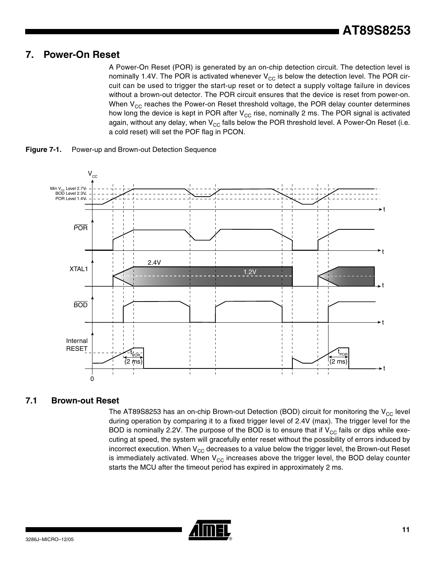# **7. Power-On Reset**

A Power-On Reset (POR) is generated by an on-chip detection circuit. The detection level is nominally 1.4V. The POR is activated whenever  $V_{CC}$  is below the detection level. The POR circuit can be used to trigger the start-up reset or to detect a supply voltage failure in devices without a brown-out detector. The POR circuit ensures that the device is reset from power-on. When  $V_{CC}$  reaches the Power-on Reset threshold voltage, the POR delay counter determines how long the device is kept in POR after  $V_{CC}$  rise, nominally 2 ms. The POR signal is activated again, without any delay, when  $V_{CC}$  falls below the POR threshold level. A Power-On Reset (i.e. a cold reset) will set the POF flag in PCON.



**Figure 7-1.** Power-up and Brown-out Detection Sequence

# **7.1 Brown-out Reset**

The AT89S8253 has an on-chip Brown-out Detection (BOD) circuit for monitoring the  $V_{CC}$  level during operation by comparing it to a fixed trigger level of 2.4V (max). The trigger level for the BOD is nominally 2.2V. The purpose of the BOD is to ensure that if  $V_{CC}$  fails or dips while executing at speed, the system will gracefully enter reset without the possibility of errors induced by incorrect execution. When  $V_{CC}$  decreases to a value below the trigger level, the Brown-out Reset is immediately activated. When  $V_{CC}$  increases above the trigger level, the BOD delay counter starts the MCU after the timeout period has expired in approximately 2 ms.

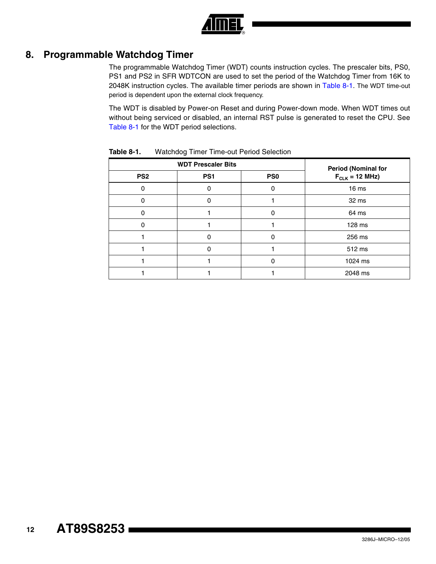

# **8. Programmable Watchdog Timer**

The programmable Watchdog Timer (WDT) counts instruction cycles. The prescaler bits, PS0, PS1 and PS2 in SFR WDTCON are used to set the period of the Watchdog Timer from 16K to 2048K instruction cycles. The available timer periods are shown in [Table 8-1.](#page-11-0) The WDT time-out period is dependent upon the external clock frequency.

The WDT is disabled by Power-on Reset and during Power-down mode. When WDT times out without being serviced or disabled, an internal RST pulse is generated to reset the CPU. See [Table 8-1](#page-11-0) for the WDT period selections.

|                 | <b>WDT Prescaler Bits</b> | <b>Period (Nominal for</b> |                     |
|-----------------|---------------------------|----------------------------|---------------------|
| PS <sub>2</sub> | PS <sub>1</sub>           | PS <sub>0</sub>            | $F_{CLK}$ = 12 MHz) |
| 0               |                           | 0                          | 16 <sub>ms</sub>    |
| O               | ∩                         |                            | 32 ms               |
| ი               |                           | 0                          | 64 ms               |
| 0               |                           |                            | 128 ms              |
|                 |                           | ŋ                          | 256 ms              |
|                 | O                         |                            | 512 ms              |
|                 |                           | n                          | 1024 ms             |
|                 |                           |                            | 2048 ms             |

<span id="page-11-0"></span>**Table 8-1.** Watchdog Timer Time-out Period Selection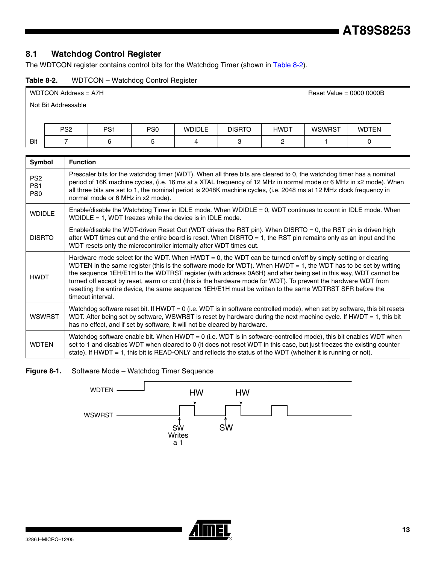# **8.1 Watchdog Control Register**

The WDTCON register contains control bits for the Watchdog Timer (shown in [Table 8-2\)](#page-12-0).

<span id="page-12-0"></span>

| Table 8-2. | WDTCON - Watchdog Control Register |
|------------|------------------------------------|
|------------|------------------------------------|

|                     | WDTCON Address = A7H<br>Reset Value = $0000 0000B$ |                 |                 |               |               |             |        |              |  |
|---------------------|----------------------------------------------------|-----------------|-----------------|---------------|---------------|-------------|--------|--------------|--|
| Not Bit Addressable |                                                    |                 |                 |               |               |             |        |              |  |
|                     |                                                    |                 |                 |               |               |             |        |              |  |
|                     | PS <sub>2</sub>                                    | PS <sub>1</sub> | PS <sub>0</sub> | <b>WDIDLE</b> | <b>DISRTO</b> | <b>HWDT</b> | WSWRST | <b>WDTEN</b> |  |
| Bit                 |                                                    | 6               | 5               | 4             | 3             | 2           |        |              |  |
|                     |                                                    |                 |                 |               |               |             |        |              |  |

| Symbol                                                | <b>Function</b>                                                                                                                                                                                                                                                                                                                                                                                                                                                                                                                                                                                        |
|-------------------------------------------------------|--------------------------------------------------------------------------------------------------------------------------------------------------------------------------------------------------------------------------------------------------------------------------------------------------------------------------------------------------------------------------------------------------------------------------------------------------------------------------------------------------------------------------------------------------------------------------------------------------------|
| PS <sub>2</sub><br>PS <sub>1</sub><br>PS <sub>0</sub> | Prescaler bits for the watchdog timer (WDT). When all three bits are cleared to 0, the watchdog timer has a nominal<br>period of 16K machine cycles, (i.e. 16 ms at a XTAL frequency of 12 MHz in normal mode or 6 MHz in x2 mode). When<br>all three bits are set to 1, the nominal period is 2048K machine cycles, (i.e. 2048 ms at 12 MHz clock frequency in<br>normal mode or 6 MHz in x2 mode).                                                                                                                                                                                                   |
| <b>WDIDLE</b>                                         | Enable/disable the Watchdog Timer in IDLE mode. When WDIDLE = 0, WDT continues to count in IDLE mode. When<br>WDIDLE = 1, WDT freezes while the device is in IDLE mode.                                                                                                                                                                                                                                                                                                                                                                                                                                |
| <b>DISRTO</b>                                         | Enable/disable the WDT-driven Reset Out (WDT drives the RST pin). When DISRTO = 0, the RST pin is driven high<br>after WDT times out and the entire board is reset. When DISRTO $= 1$ , the RST pin remains only as an input and the<br>WDT resets only the microcontroller internally after WDT times out.                                                                                                                                                                                                                                                                                            |
| <b>HWDT</b>                                           | Hardware mode select for the WDT. When HWDT = 0, the WDT can be turned on/off by simply setting or clearing<br>WDTEN in the same register (this is the software mode for WDT). When $HWDT = 1$ , the WDT has to be set by writing<br>the sequence 1EH/E1H to the WDTRST register (with address 0A6H) and after being set in this way, WDT cannot be<br>turned off except by reset, warm or cold (this is the hardware mode for WDT). To prevent the hardware WDT from<br>resetting the entire device, the same sequence 1EH/E1H must be written to the same WDTRST SFR before the<br>timeout interval. |
| <b>WSWRST</b>                                         | Watchdog software reset bit. If HWDT = 0 (i.e. WDT is in software controlled mode), when set by software, this bit resets<br>WDT. After being set by software, WSWRST is reset by hardware during the next machine cycle. If HWDT = 1, this bit<br>has no effect, and if set by software, it will not be cleared by hardware.                                                                                                                                                                                                                                                                          |
| <b>WDTEN</b>                                          | Watchdog software enable bit. When HWDT = 0 (i.e. WDT is in software-controlled mode), this bit enables WDT when<br>set to 1 and disables WDT when cleared to 0 (it does not reset WDT in this case, but just freezes the existing counter<br>state). If HWDT = 1, this bit is READ-ONLY and reflects the status of the WDT (whether it is running or not).                                                                                                                                                                                                                                            |

**Figure 8-1.** Software Mode – Watchdog Timer Sequence



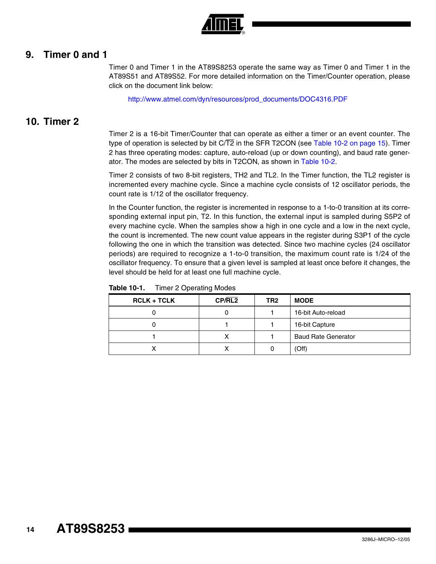

### **9. Timer 0 and 1**

Timer 0 and Timer 1 in the AT89S8253 operate the same way as Timer 0 and Timer 1 in the AT89S51 and AT89S52. For more detailed information on the Timer/Counter operation, please click on the document link below:

[http://www.atmel.com/dyn/resources/prod\\_documents/DOC4316.PDF](http://www.atmel.com/dyn/resources/prod_documents/doc4316.pdf)

### **10. Timer 2**

Timer 2 is a 16-bit Timer/Counter that can operate as either a timer or an event counter. The type of operation is selected by bit  $C/\overline{T2}$  in the SFR T2CON (see [Table 10-2 on page 15\)](#page-14-0). Timer 2 has three operating modes: capture, auto-reload (up or down counting), and baud rate generator. The modes are selected by bits in T2CON, as shown in [Table 10-2.](#page-14-0)

Timer 2 consists of two 8-bit registers, TH2 and TL2. In the Timer function, the TL2 register is incremented every machine cycle. Since a machine cycle consists of 12 oscillator periods, the count rate is 1/12 of the oscillator frequency.

In the Counter function, the register is incremented in response to a 1-to-0 transition at its corresponding external input pin, T2. In this function, the external input is sampled during S5P2 of every machine cycle. When the samples show a high in one cycle and a low in the next cycle, the count is incremented. The new count value appears in the register during S3P1 of the cycle following the one in which the transition was detected. Since two machine cycles (24 oscillator periods) are required to recognize a 1-to-0 transition, the maximum count rate is 1/24 of the oscillator frequency. To ensure that a given level is sampled at least once before it changes, the level should be held for at least one full machine cycle.

| $RCLK + TCLK$ | CP/RL2 | TR <sub>2</sub> | <b>MODE</b>                |
|---------------|--------|-----------------|----------------------------|
|               | O      |                 | 16-bit Auto-reload         |
|               |        |                 | 16-bit Capture             |
|               |        |                 | <b>Baud Rate Generator</b> |
|               |        |                 | (Off)                      |

| Table 10-1. | <b>Timer 2 Operating Modes</b> |
|-------------|--------------------------------|
|-------------|--------------------------------|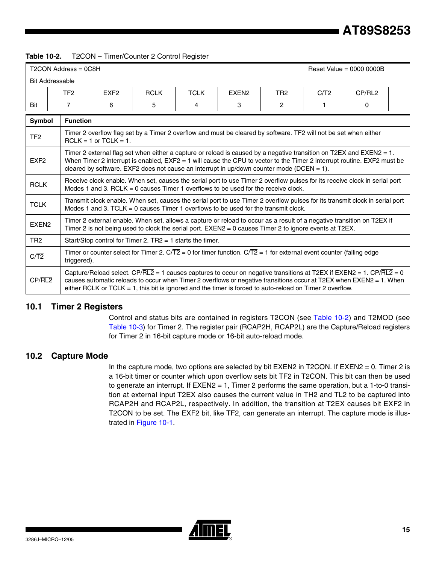#### <span id="page-14-0"></span>**Table 10-2.** T2CON – Timer/Counter 2 Control Register

|                        | T2CON Address = 0C8H                                                                                                                                                                                                                                                                                                                                                                                                                                                                                                                                                                                                        |                                                                                                                                                                                                                                                                                                                                                        |             |             |                                                                                                                                                                                                                                                                                                                                                                                                                                                                                                                        |                 |      | Reset Value = $0000 0000B$ |  |
|------------------------|-----------------------------------------------------------------------------------------------------------------------------------------------------------------------------------------------------------------------------------------------------------------------------------------------------------------------------------------------------------------------------------------------------------------------------------------------------------------------------------------------------------------------------------------------------------------------------------------------------------------------------|--------------------------------------------------------------------------------------------------------------------------------------------------------------------------------------------------------------------------------------------------------------------------------------------------------------------------------------------------------|-------------|-------------|------------------------------------------------------------------------------------------------------------------------------------------------------------------------------------------------------------------------------------------------------------------------------------------------------------------------------------------------------------------------------------------------------------------------------------------------------------------------------------------------------------------------|-----------------|------|----------------------------|--|
| <b>Bit Addressable</b> |                                                                                                                                                                                                                                                                                                                                                                                                                                                                                                                                                                                                                             |                                                                                                                                                                                                                                                                                                                                                        |             |             |                                                                                                                                                                                                                                                                                                                                                                                                                                                                                                                        |                 |      |                            |  |
|                        | TF <sub>2</sub>                                                                                                                                                                                                                                                                                                                                                                                                                                                                                                                                                                                                             | EXF <sub>2</sub>                                                                                                                                                                                                                                                                                                                                       | <b>RCLK</b> | <b>TCLK</b> | EXEN <sub>2</sub>                                                                                                                                                                                                                                                                                                                                                                                                                                                                                                      | TR <sub>2</sub> | C/T2 | CP/RL2                     |  |
| Bit                    | 7                                                                                                                                                                                                                                                                                                                                                                                                                                                                                                                                                                                                                           | 6                                                                                                                                                                                                                                                                                                                                                      | 5           | 4           | 3                                                                                                                                                                                                                                                                                                                                                                                                                                                                                                                      | $\overline{2}$  |      | 0                          |  |
| Symbol                 | <b>Function</b>                                                                                                                                                                                                                                                                                                                                                                                                                                                                                                                                                                                                             |                                                                                                                                                                                                                                                                                                                                                        |             |             |                                                                                                                                                                                                                                                                                                                                                                                                                                                                                                                        |                 |      |                            |  |
| TF <sub>2</sub>        | Timer 2 overflow flag set by a Timer 2 overflow and must be cleared by software. TF2 will not be set when either<br>$RCLK = 1$ or $TCLK = 1$ .<br>Timer 2 external flag set when either a capture or reload is caused by a negative transition on T2EX and EXEN2 = 1.<br>When Timer 2 interrupt is enabled, EXF2 = 1 will cause the CPU to vector to the Timer 2 interrupt routine. EXF2 must be<br>cleared by software. EXF2 does not cause an interrupt in up/down counter mode (DCEN = 1).<br>Receive clock enable. When set, causes the serial port to use Timer 2 overflow pulses for its receive clock in serial port |                                                                                                                                                                                                                                                                                                                                                        |             |             |                                                                                                                                                                                                                                                                                                                                                                                                                                                                                                                        |                 |      |                            |  |
| EXF <sub>2</sub>       |                                                                                                                                                                                                                                                                                                                                                                                                                                                                                                                                                                                                                             |                                                                                                                                                                                                                                                                                                                                                        |             |             |                                                                                                                                                                                                                                                                                                                                                                                                                                                                                                                        |                 |      |                            |  |
| <b>RCLK</b>            | Modes 1 and 3. RCLK = 0 causes Timer 1 overflows to be used for the receive clock.                                                                                                                                                                                                                                                                                                                                                                                                                                                                                                                                          |                                                                                                                                                                                                                                                                                                                                                        |             |             |                                                                                                                                                                                                                                                                                                                                                                                                                                                                                                                        |                 |      |                            |  |
| <b>TCLK</b>            |                                                                                                                                                                                                                                                                                                                                                                                                                                                                                                                                                                                                                             |                                                                                                                                                                                                                                                                                                                                                        |             |             |                                                                                                                                                                                                                                                                                                                                                                                                                                                                                                                        |                 |      |                            |  |
| EXEN <sub>2</sub>      |                                                                                                                                                                                                                                                                                                                                                                                                                                                                                                                                                                                                                             |                                                                                                                                                                                                                                                                                                                                                        |             |             |                                                                                                                                                                                                                                                                                                                                                                                                                                                                                                                        |                 |      |                            |  |
| TR <sub>2</sub>        |                                                                                                                                                                                                                                                                                                                                                                                                                                                                                                                                                                                                                             |                                                                                                                                                                                                                                                                                                                                                        |             |             |                                                                                                                                                                                                                                                                                                                                                                                                                                                                                                                        |                 |      |                            |  |
| $C/\overline{T2}$      | Timer or counter select for Timer 2. $C/T2 = 0$ for timer function. $C/T2 = 1$ for external event counter (falling edge<br>triggered).                                                                                                                                                                                                                                                                                                                                                                                                                                                                                      |                                                                                                                                                                                                                                                                                                                                                        |             |             | Transmit clock enable. When set, causes the serial port to use Timer 2 overflow pulses for its transmit clock in serial port<br>Modes 1 and 3. TCLK = 0 causes Timer 1 overflows to be used for the transmit clock.<br>Timer 2 external enable. When set, allows a capture or reload to occur as a result of a negative transition on T2EX if<br>Timer 2 is not being used to clock the serial port. EXEN2 = 0 causes Timer 2 to ignore events at T2EX.<br>Start/Stop control for Timer 2. $TR2 = 1$ starts the timer. |                 |      |                            |  |
| CP/RL2                 |                                                                                                                                                                                                                                                                                                                                                                                                                                                                                                                                                                                                                             | Capture/Reload select. CP/RL2 = 1 causes captures to occur on negative transitions at T2EX if EXEN2 = 1. CP/RL2 = 0<br>causes automatic reloads to occur when Timer 2 overflows or negative transitions occur at T2EX when EXEN2 = 1. When<br>either RCLK or TCLK = 1, this bit is ignored and the timer is forced to auto-reload on Timer 2 overflow. |             |             |                                                                                                                                                                                                                                                                                                                                                                                                                                                                                                                        |                 |      |                            |  |

#### **10.1 Timer 2 Registers**

Control and status bits are contained in registers T2CON (see [Table 10-2](#page-14-0)) and T2MOD (see [Table 10-3\)](#page-15-1) for Timer 2. The register pair (RCAP2H, RCAP2L) are the Capture/Reload registers for Timer 2 in 16-bit capture mode or 16-bit auto-reload mode.

#### **10.2 Capture Mode**

In the capture mode, two options are selected by bit EXEN2 in T2CON. If  $EXEN2 = 0$ , Timer 2 is a 16-bit timer or counter which upon overflow sets bit TF2 in T2CON. This bit can then be used to generate an interrupt. If EXEN2 = 1, Timer 2 performs the same operation, but a 1-to-0 transition at external input T2EX also causes the current value in TH2 and TL2 to be captured into RCAP2H and RCAP2L, respectively. In addition, the transition at T2EX causes bit EXF2 in T2CON to be set. The EXF2 bit, like TF2, can generate an interrupt. The capture mode is illustrated in [Figure 10-1.](#page-15-0)

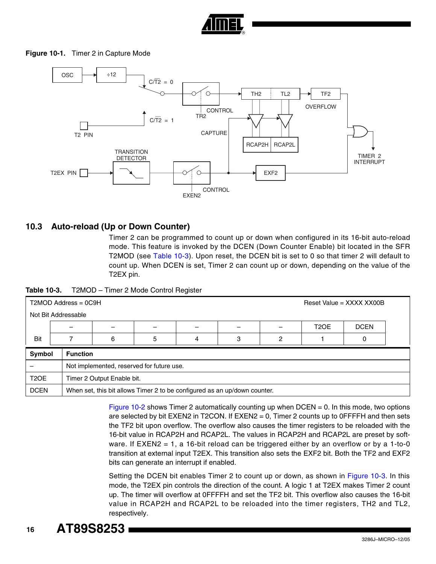

#### <span id="page-15-0"></span>**Figure 10-1.** Timer 2 in Capture Mode



#### **10.3 Auto-reload (Up or Down Counter)**

Timer 2 can be programmed to count up or down when configured in its 16-bit auto-reload mode. This feature is invoked by the DCEN (Down Counter Enable) bit located in the SFR T2MOD (see [Table 10-3](#page-15-1)). Upon reset, the DCEN bit is set to 0 so that timer 2 will default to count up. When DCEN is set, Timer 2 can count up or down, depending on the value of the T2EX pin.

<span id="page-15-1"></span>

| Table 10-3. | T2MOD - Timer 2 Mode Control Register |
|-------------|---------------------------------------|
|             |                                       |

|                   | $T2MOD$ Address = $0C9H$<br>Reset Value = $XXX$ XXX XX00B |                                                                           |   |   |   |   |                   |             |  |  |  |
|-------------------|-----------------------------------------------------------|---------------------------------------------------------------------------|---|---|---|---|-------------------|-------------|--|--|--|
|                   | Not Bit Addressable                                       |                                                                           |   |   |   |   |                   |             |  |  |  |
|                   |                                                           |                                                                           |   |   |   |   | T <sub>2</sub> OE | <b>DCEN</b> |  |  |  |
| Bit               |                                                           | 6                                                                         | 5 | 4 | 3 | 2 |                   |             |  |  |  |
| Symbol            | <b>Function</b>                                           |                                                                           |   |   |   |   |                   |             |  |  |  |
|                   |                                                           | Not implemented, reserved for future use.                                 |   |   |   |   |                   |             |  |  |  |
| T <sub>2</sub> OE |                                                           | Timer 2 Output Enable bit.                                                |   |   |   |   |                   |             |  |  |  |
| <b>DCEN</b>       |                                                           | When set, this bit allows Timer 2 to be configured as an up/down counter. |   |   |   |   |                   |             |  |  |  |

[Figure 10-2](#page-16-1) shows Timer 2 automatically counting up when DCEN = 0. In this mode, two options are selected by bit EXEN2 in T2CON. If EXEN2 = 0, Timer 2 counts up to 0FFFFH and then sets the TF2 bit upon overflow. The overflow also causes the timer registers to be reloaded with the 16-bit value in RCAP2H and RCAP2L. The values in RCAP2H and RCAP2L are preset by software. If EXEN2 = 1, a 16-bit reload can be triggered either by an overflow or by a 1-to-0 transition at external input T2EX. This transition also sets the EXF2 bit. Both the TF2 and EXF2 bits can generate an interrupt if enabled.

Setting the DCEN bit enables Timer 2 to count up or down, as shown in [Figure 10-3](#page-16-0). In this mode, the T2EX pin controls the direction of the count. A logic 1 at T2EX makes Timer 2 count up. The timer will overflow at 0FFFFH and set the TF2 bit. This overflow also causes the 16-bit value in RCAP2H and RCAP2L to be reloaded into the timer registers, TH2 and TL2, respectively.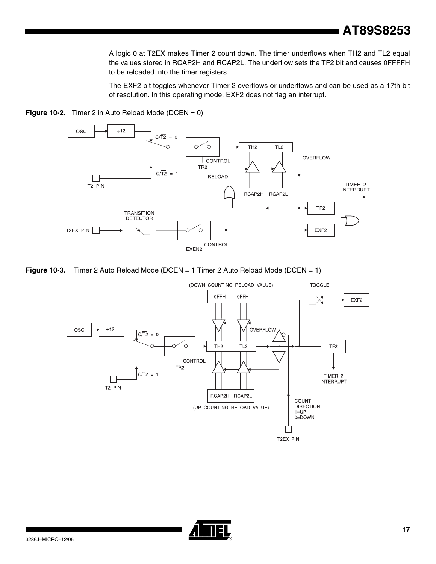**AT89S8253**

A logic 0 at T2EX makes Timer 2 count down. The timer underflows when TH2 and TL2 equal the values stored in RCAP2H and RCAP2L. The underflow sets the TF2 bit and causes 0FFFFH to be reloaded into the timer registers.

The EXF2 bit toggles whenever Timer 2 overflows or underflows and can be used as a 17th bit of resolution. In this operating mode, EXF2 does not flag an interrupt.



<span id="page-16-1"></span>

<span id="page-16-0"></span>



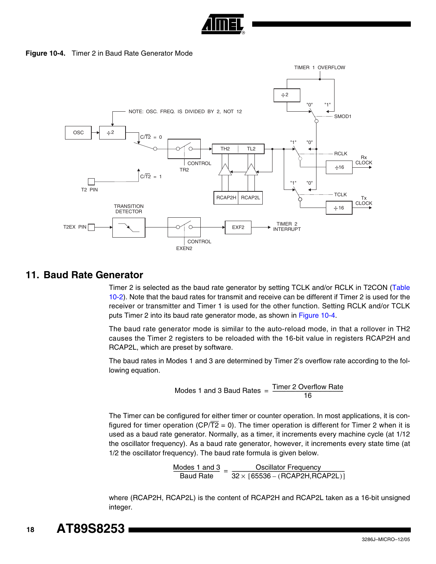

**Figure 10-4.** Timer 2 in Baud Rate Generator Mode

<span id="page-17-0"></span>

# **11. Baud Rate Generator**

Timer 2 is selected as the baud rate generator by setting TCLK and/or RCLK in T2CON ([Table](#page-14-0) [10-2](#page-14-0)). Note that the baud rates for transmit and receive can be different if Timer 2 is used for the receiver or transmitter and Timer 1 is used for the other function. Setting RCLK and/or TCLK puts Timer 2 into its baud rate generator mode, as shown in [Figure 10-4.](#page-17-0)

The baud rate generator mode is similar to the auto-reload mode, in that a rollover in TH2 causes the Timer 2 registers to be reloaded with the 16-bit value in registers RCAP2H and RCAP2L, which are preset by software.

The baud rates in Modes 1 and 3 are determined by Timer 2's overflow rate according to the following equation.

$$
Models 1 and 3 Baud Rates = \frac{Timer 2 Overflow Rate}{16}
$$

The Timer can be configured for either timer or counter operation. In most applications, it is configured for timer operation (CP/ $\overline{T2} = 0$ ). The timer operation is different for Timer 2 when it is used as a baud rate generator. Normally, as a timer, it increments every machine cycle (at 1/12 the oscillator frequency). As a baud rate generator, however, it increments every state time (at 1/2 the oscillator frequency). The baud rate formula is given below.

 $\frac{\text{Models 1 and 3}}{\text{Baud Rate}} = \frac{\text{Oscillator Frequency}}{32 \times [65536 - (\text{RCAP2H}, \text{RCAP2L})]}$ 

where (RCAP2H, RCAP2L) is the content of RCAP2H and RCAP2L taken as a 16-bit unsigned integer.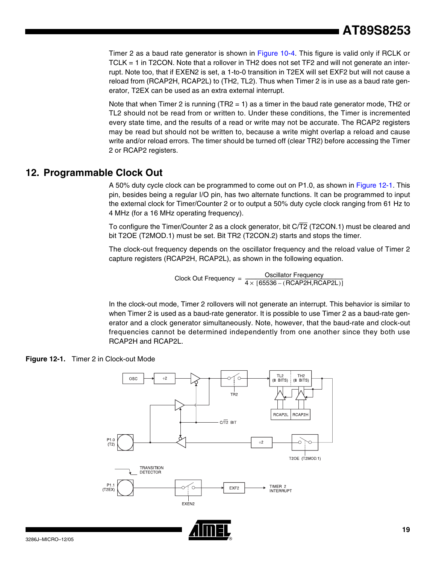Timer 2 as a baud rate generator is shown in [Figure 10-4](#page-17-0). This figure is valid only if RCLK or TCLK = 1 in T2CON. Note that a rollover in TH2 does not set TF2 and will not generate an interrupt. Note too, that if EXEN2 is set, a 1-to-0 transition in T2EX will set EXF2 but will not cause a reload from (RCAP2H, RCAP2L) to (TH2, TL2). Thus when Timer 2 is in use as a baud rate generator, T2EX can be used as an extra external interrupt.

Note that when Timer 2 is running (TR2 = 1) as a timer in the baud rate generator mode, TH2 or TL2 should not be read from or written to. Under these conditions, the Timer is incremented every state time, and the results of a read or write may not be accurate. The RCAP2 registers may be read but should not be written to, because a write might overlap a reload and cause write and/or reload errors. The timer should be turned off (clear TR2) before accessing the Timer 2 or RCAP2 registers.

# **12. Programmable Clock Out**

A 50% duty cycle clock can be programmed to come out on P1.0, as shown in [Figure 12-1.](#page-18-0) This pin, besides being a regular I/O pin, has two alternate functions. It can be programmed to input the external clock for Timer/Counter 2 or to output a 50% duty cycle clock ranging from 61 Hz to 4 MHz (for a 16 MHz operating frequency).

To configure the Timer/Counter 2 as a clock generator, bit C/T2 (T2CON.1) must be cleared and bit T2OE (T2MOD.1) must be set. Bit TR2 (T2CON.2) starts and stops the timer.

The clock-out frequency depends on the oscillator frequency and the reload value of Timer 2 capture registers (RCAP2H, RCAP2L), as shown in the following equation.

Clock Out Frequency =  $\frac{\text{Oscillator Frequency}}{4 \times [65536 - (\text{RCAP2H}, \text{RCAP2L})]}$ 

In the clock-out mode, Timer 2 rollovers will not generate an interrupt. This behavior is similar to when Timer 2 is used as a baud-rate generator. It is possible to use Timer 2 as a baud-rate generator and a clock generator simultaneously. Note, however, that the baud-rate and clock-out frequencies cannot be determined independently from one another since they both use RCAP2H and RCAP2L.

<span id="page-18-0"></span>



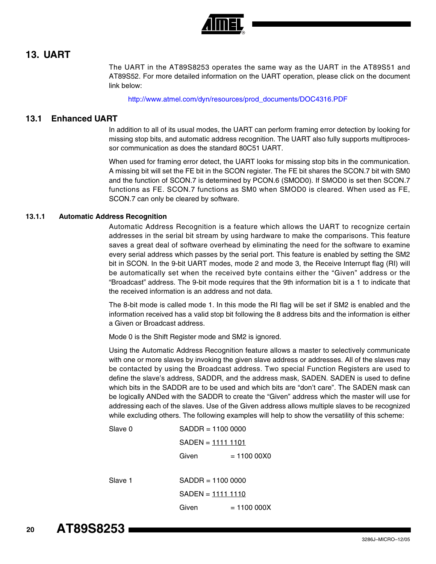

# **13. UART**

The UART in the AT89S8253 operates the same way as the UART in the AT89S51 and AT89S52. For more detailed information on the UART operation, please click on the document link below:

[http://www.atmel.com/dyn/resources/prod\\_documents/DOC4316.PDF](http://www.atmel.com/dyn/resources/prod_documents/doc4316.pdf)

#### **13.1 Enhanced UART**

In addition to all of its usual modes, the UART can perform framing error detection by looking for missing stop bits, and automatic address recognition. The UART also fully supports multiprocessor communication as does the standard 80C51 UART.

When used for framing error detect, the UART looks for missing stop bits in the communication. A missing bit will set the FE bit in the SCON register. The FE bit shares the SCON.7 bit with SM0 and the function of SCON.7 is determined by PCON.6 (SMOD0). If SMOD0 is set then SCON.7 functions as FE. SCON.7 functions as SM0 when SMOD0 is cleared. When used as FE, SCON.7 can only be cleared by software.

#### **13.1.1 Automatic Address Recognition**

Automatic Address Recognition is a feature which allows the UART to recognize certain addresses in the serial bit stream by using hardware to make the comparisons. This feature saves a great deal of software overhead by eliminating the need for the software to examine every serial address which passes by the serial port. This feature is enabled by setting the SM2 bit in SCON. In the 9-bit UART modes, mode 2 and mode 3, the Receive Interrupt flag (RI) will be automatically set when the received byte contains either the "Given" address or the "Broadcast" address. The 9-bit mode requires that the 9th information bit is a 1 to indicate that the received information is an address and not data.

The 8-bit mode is called mode 1. In this mode the RI flag will be set if SM2 is enabled and the information received has a valid stop bit following the 8 address bits and the information is either a Given or Broadcast address.

Mode 0 is the Shift Register mode and SM2 is ignored.

Using the Automatic Address Recognition feature allows a master to selectively communicate with one or more slaves by invoking the given slave address or addresses. All of the slaves may be contacted by using the Broadcast address. Two special Function Registers are used to define the slave's address, SADDR, and the address mask, SADEN. SADEN is used to define which bits in the SADDR are to be used and which bits are "don't care". The SADEN mask can be logically ANDed with the SADDR to create the "Given" address which the master will use for addressing each of the slaves. Use of the Given address allows multiple slaves to be recognized while excluding others. The following examples will help to show the versatility of this scheme:

| Slave 0 | $SADDR = 11000000$ |              |
|---------|--------------------|--------------|
|         | SADEN = 1111 1101  |              |
|         | Given              | $= 11000000$ |
|         |                    |              |
| Slave 1 | $SADDR = 11000000$ |              |
|         | SADEN = 1111 1110  |              |
|         | Given              | $= 11000000$ |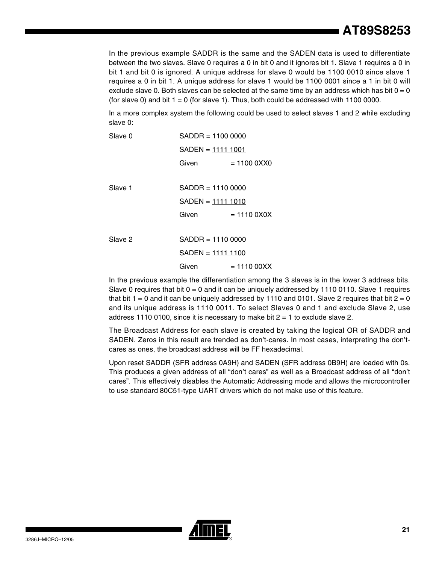In the previous example SADDR is the same and the SADEN data is used to differentiate between the two slaves. Slave 0 requires a 0 in bit 0 and it ignores bit 1. Slave 1 requires a 0 in bit 1 and bit 0 is ignored. A unique address for slave 0 would be 1100 0010 since slave 1 requires a 0 in bit 1. A unique address for slave 1 would be 1100 0001 since a 1 in bit 0 will exclude slave 0. Both slaves can be selected at the same time by an address which has bit  $0 = 0$ (for slave 0) and bit  $1 = 0$  (for slave 1). Thus, both could be addressed with 1100 0000.

In a more complex system the following could be used to select slaves 1 and 2 while excluding slave 0:

| Slave 0 | $SADDR = 11000000$ |                         |  |  |  |  |
|---------|--------------------|-------------------------|--|--|--|--|
|         | SADEN = 1111 1001  |                         |  |  |  |  |
|         | Given              | $= 110000$ XX $= 10000$ |  |  |  |  |
|         |                    |                         |  |  |  |  |
| Slave 1 | $SADDR = 11100000$ |                         |  |  |  |  |
|         | SADEN = 1111 1010  |                         |  |  |  |  |
|         | Given              | $= 11100X0X$            |  |  |  |  |
|         |                    |                         |  |  |  |  |
| Slave 2 | $SADDR = 11100000$ |                         |  |  |  |  |
|         | SADEN = 1111 1100  |                         |  |  |  |  |
|         | Given              | $= 1110000XX$           |  |  |  |  |
|         |                    |                         |  |  |  |  |

In the previous example the differentiation among the 3 slaves is in the lower 3 address bits. Slave 0 requires that bit  $0 = 0$  and it can be uniquely addressed by 1110 0110. Slave 1 requires that bit  $1 = 0$  and it can be uniquely addressed by 1110 and 0101. Slave 2 requires that bit  $2 = 0$ and its unique address is 1110 0011. To select Slaves 0 and 1 and exclude Slave 2, use address 1110 0100, since it is necessary to make bit  $2 = 1$  to exclude slave 2.

The Broadcast Address for each slave is created by taking the logical OR of SADDR and SADEN. Zeros in this result are trended as don't-cares. In most cases, interpreting the don'tcares as ones, the broadcast address will be FF hexadecimal.

Upon reset SADDR (SFR address 0A9H) and SADEN (SFR address 0B9H) are loaded with 0s. This produces a given address of all "don't cares" as well as a Broadcast address of all "don't cares". This effectively disables the Automatic Addressing mode and allows the microcontroller to use standard 80C51-type UART drivers which do not make use of this feature.

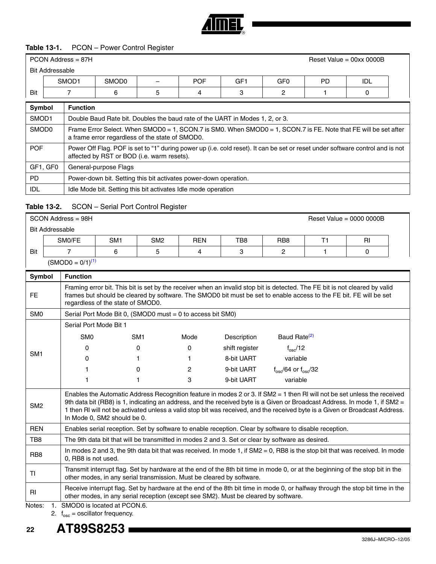

#### **Table 13-1.** PCON – Power Control Register

|        | PCON Address = 87H<br>Reset Value = $00xx0000B$ |                   |                          |            |     |                 |           |     |
|--------|-------------------------------------------------|-------------------|--------------------------|------------|-----|-----------------|-----------|-----|
|        | <b>Bit Addressable</b>                          |                   |                          |            |     |                 |           |     |
|        | SMOD1                                           | SMOD <sub>0</sub> | $\overline{\phantom{0}}$ | <b>POF</b> | GF1 | GF <sub>0</sub> | <b>PD</b> | IDL |
| Bit    |                                                 | h                 |                          |            |     |                 |           |     |
| ______ | __                                              |                   |                          |            |     |                 |           |     |

| Symbol            | <b>Function</b>                                                                                                                                                             |
|-------------------|-----------------------------------------------------------------------------------------------------------------------------------------------------------------------------|
| SMOD <sub>1</sub> | Double Baud Rate bit. Doubles the baud rate of the UART in Modes 1, 2, or 3.                                                                                                |
| SMOD <sub>0</sub> | Frame Error Select. When SMOD0 = 1, SCON.7 is SM0. When SMOD0 = 1, SCON.7 is FE. Note that FE will be set after<br>a frame error regardless of the state of SMOD0.          |
| <b>POF</b>        | Power Off Flag. POF is set to "1" during power up (i.e. cold reset). It can be set or reset under software control and is not<br>affected by RST or BOD (i.e. warm resets). |
| GF1, GF0          | General-purpose Flags                                                                                                                                                       |
| PD.               | Power-down bit. Setting this bit activates power-down operation.                                                                                                            |
| IDL               | Idle Mode bit. Setting this bit activates Idle mode operation                                                                                                               |

#### **Table 13-2.** SCON – Serial Port Control Register

| SCON Address = 98H |                        |                 |                 |            |     |                 |  | Reset Value = $0000 0000B$ |  |  |
|--------------------|------------------------|-----------------|-----------------|------------|-----|-----------------|--|----------------------------|--|--|
|                    | <b>Bit Addressable</b> |                 |                 |            |     |                 |  |                            |  |  |
|                    | SMO/FE                 | SM <sub>1</sub> | SM <sub>2</sub> | <b>REN</b> | TB8 | RB <sub>8</sub> |  | RI                         |  |  |
| Bit                |                        |                 | 5               | 4          | 3   |                 |  |                            |  |  |
|                    | $(SMOD0 = 0/1)^{(1)}$  |                 |                 |            |     |                 |  |                            |  |  |

| <b>Symbol</b>    | <b>Function</b>             |                                                                       |      |                                                                                     |                                                                                                                                                                                                                                                                                                                                                                                         |  |  |  |  |  |
|------------------|-----------------------------|-----------------------------------------------------------------------|------|-------------------------------------------------------------------------------------|-----------------------------------------------------------------------------------------------------------------------------------------------------------------------------------------------------------------------------------------------------------------------------------------------------------------------------------------------------------------------------------------|--|--|--|--|--|
| FE.              |                             | regardless of the state of SMOD0.                                     |      |                                                                                     | Framing error bit. This bit is set by the receiver when an invalid stop bit is detected. The FE bit is not cleared by valid<br>frames but should be cleared by software. The SMOD0 bit must be set to enable access to the FE bit. FE will be set                                                                                                                                       |  |  |  |  |  |
| SM <sub>0</sub>  |                             | Serial Port Mode Bit 0, (SMOD0 must = 0 to access bit SM0)            |      |                                                                                     |                                                                                                                                                                                                                                                                                                                                                                                         |  |  |  |  |  |
|                  |                             | Serial Port Mode Bit 1                                                |      |                                                                                     |                                                                                                                                                                                                                                                                                                                                                                                         |  |  |  |  |  |
|                  | SM <sub>0</sub>             | SM <sub>1</sub>                                                       | Mode | Description                                                                         | Baud Rate <sup>(2)</sup>                                                                                                                                                                                                                                                                                                                                                                |  |  |  |  |  |
|                  | 0                           | 0                                                                     | 0    | shift register                                                                      | $f_{\rm osc}/12$                                                                                                                                                                                                                                                                                                                                                                        |  |  |  |  |  |
| SM <sub>1</sub>  | 0                           |                                                                       |      | 8-bit UART                                                                          | variable                                                                                                                                                                                                                                                                                                                                                                                |  |  |  |  |  |
|                  |                             | 0                                                                     | 2    | 9-bit UART                                                                          | $f_{\rm osc}/64$ or $f_{\rm osc}/32$                                                                                                                                                                                                                                                                                                                                                    |  |  |  |  |  |
|                  |                             |                                                                       | 3    | 9-bit UART                                                                          | variable                                                                                                                                                                                                                                                                                                                                                                                |  |  |  |  |  |
| SM <sub>2</sub>  | In Mode 0, SM2 should be 0. |                                                                       |      |                                                                                     | Enables the Automatic Address Recognition feature in modes 2 or 3. If SM2 = 1 then RI will not be set unless the received<br>9th data bit (RB8) is 1, indicating an address, and the received byte is a Given or Broadcast Address. In mode 1, if SM2 =<br>1 then RI will not be activated unless a valid stop bit was received, and the received byte is a Given or Broadcast Address. |  |  |  |  |  |
| <b>REN</b>       |                             |                                                                       |      |                                                                                     | Enables serial reception. Set by software to enable reception. Clear by software to disable reception.                                                                                                                                                                                                                                                                                  |  |  |  |  |  |
| TB8              |                             |                                                                       |      |                                                                                     | The 9th data bit that will be transmitted in modes 2 and 3. Set or clear by software as desired.                                                                                                                                                                                                                                                                                        |  |  |  |  |  |
| R <sub>B</sub> 8 | 0. RB8 is not used.         |                                                                       |      |                                                                                     | In modes 2 and 3, the 9th data bit that was received. In mode 1, if $SM2 = 0$ , RB8 is the stop bit that was received. In mode                                                                                                                                                                                                                                                          |  |  |  |  |  |
| ΤI               |                             | other modes, in any serial transmission. Must be cleared by software. |      |                                                                                     | Transmit interrupt flag. Set by hardware at the end of the 8th bit time in mode 0, or at the beginning of the stop bit in the                                                                                                                                                                                                                                                           |  |  |  |  |  |
| RI               |                             |                                                                       |      | other modes, in any serial reception (except see SM2). Must be cleared by software. | Receive interrupt flag. Set by hardware at the end of the 8th bit time in mode 0, or halfway through the stop bit time in the                                                                                                                                                                                                                                                           |  |  |  |  |  |
| Notes:           | SMOD0 is located at PCON.6. |                                                                       |      |                                                                                     |                                                                                                                                                                                                                                                                                                                                                                                         |  |  |  |  |  |

<span id="page-21-1"></span><span id="page-21-0"></span>2.  $f_{\rm osc} =$  oscillator frequency.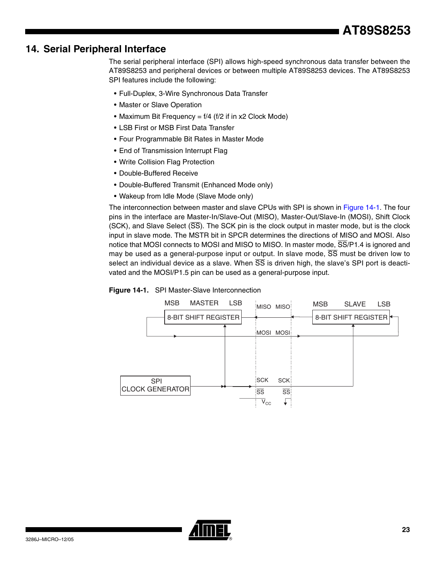# **14. Serial Peripheral Interface**

The serial peripheral interface (SPI) allows high-speed synchronous data transfer between the AT89S8253 and peripheral devices or between multiple AT89S8253 devices. The AT89S8253 SPI features include the following:

- Full-Duplex, 3-Wire Synchronous Data Transfer
- Master or Slave Operation
- Maximum Bit Frequency = f/4 (f/2 if in x2 Clock Mode)
- LSB First or MSB First Data Transfer
- Four Programmable Bit Rates in Master Mode
- End of Transmission Interrupt Flag
- Write Collision Flag Protection
- Double-Buffered Receive
- Double-Buffered Transmit (Enhanced Mode only)
- Wakeup from Idle Mode (Slave Mode only)

The interconnection between master and slave CPUs with SPI is shown in [Figure 14-1](#page-22-0). The four pins in the interface are Master-In/Slave-Out (MISO), Master-Out/Slave-In (MOSI), Shift Clock (SCK), and Slave Select (SS). The SCK pin is the clock output in master mode, but is the clock input in slave mode. The MSTR bit in SPCR determines the directions of MISO and MOSI. Also notice that MOSI connects to MOSI and MISO to MISO. In master mode,  $\overline{SS}/P1.4$  is ignored and may be used as a general-purpose input or output. In slave mode, SS must be driven low to select an individual device as a slave. When  $\overline{SS}$  is driven high, the slave's SPI port is deactivated and the MOSI/P1.5 pin can be used as a general-purpose input.

<span id="page-22-0"></span>



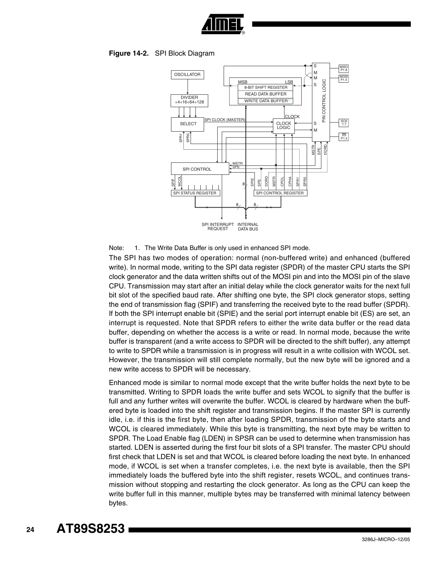

#### **Figure 14-2.** SPI Block Diagram



Note: 1. The Write Data Buffer is only used in enhanced SPI mode.

The SPI has two modes of operation: normal (non-buffered write) and enhanced (buffered write). In normal mode, writing to the SPI data register (SPDR) of the master CPU starts the SPI clock generator and the data written shifts out of the MOSI pin and into the MOSI pin of the slave CPU. Transmission may start after an initial delay while the clock generator waits for the next full bit slot of the specified baud rate. After shifting one byte, the SPI clock generator stops, setting the end of transmission flag (SPIF) and transferring the received byte to the read buffer (SPDR). If both the SPI interrupt enable bit (SPIE) and the serial port interrupt enable bit (ES) are set, an interrupt is requested. Note that SPDR refers to either the write data buffer or the read data buffer, depending on whether the access is a write or read. In normal mode, because the write buffer is transparent (and a write access to SPDR will be directed to the shift buffer), any attempt to write to SPDR while a transmission is in progress will result in a write collision with WCOL set. However, the transmission will still complete normally, but the new byte will be ignored and a new write access to SPDR will be necessary.

Enhanced mode is similar to normal mode except that the write buffer holds the next byte to be transmitted. Writing to SPDR loads the write buffer and sets WCOL to signify that the buffer is full and any further writes will overwrite the buffer. WCOL is cleared by hardware when the buffered byte is loaded into the shift register and transmission begins. If the master SPI is currently idle, i.e. if this is the first byte, then after loading SPDR, transmission of the byte starts and WCOL is cleared immediately. While this byte is transmitting, the next byte may be written to SPDR. The Load Enable flag (LDEN) in SPSR can be used to determine when transmission has started. LDEN is asserted during the first four bit slots of a SPI transfer. The master CPU should first check that LDEN is set and that WCOL is cleared before loading the next byte. In enhanced mode, if WCOL is set when a transfer completes, i.e. the next byte is available, then the SPI immediately loads the buffered byte into the shift register, resets WCOL, and continues transmission without stopping and restarting the clock generator. As long as the CPU can keep the write buffer full in this manner, multiple bytes may be transferred with minimal latency between bytes.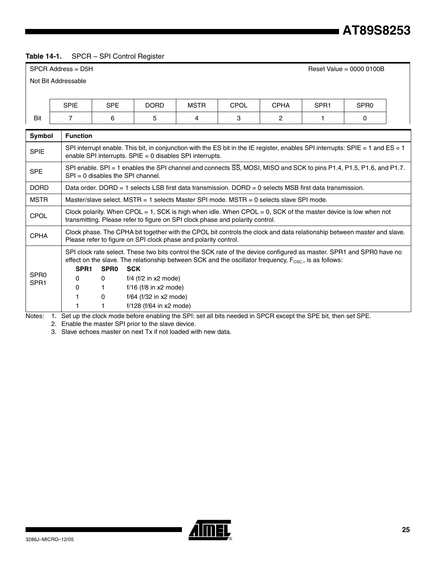# **AT89S8253**

# <span id="page-24-0"></span>**Table 14-1.** SPCR – SPI Control Register

|                  | $SPCR$ Address = D5H | Reset Value = $00000100B$                                                                                                                                                                                                                                                                       |                                                                                                                                                                                                |             |             |             |                  |                  |  |  |  |
|------------------|----------------------|-------------------------------------------------------------------------------------------------------------------------------------------------------------------------------------------------------------------------------------------------------------------------------------------------|------------------------------------------------------------------------------------------------------------------------------------------------------------------------------------------------|-------------|-------------|-------------|------------------|------------------|--|--|--|
|                  | Not Bit Addressable  |                                                                                                                                                                                                                                                                                                 |                                                                                                                                                                                                |             |             |             |                  |                  |  |  |  |
|                  |                      |                                                                                                                                                                                                                                                                                                 |                                                                                                                                                                                                |             |             |             |                  |                  |  |  |  |
|                  | <b>SPIE</b>          | <b>SPE</b>                                                                                                                                                                                                                                                                                      | <b>DORD</b>                                                                                                                                                                                    | <b>MSTR</b> | <b>CPOL</b> | <b>CPHA</b> | SPR <sub>1</sub> | SPR <sub>0</sub> |  |  |  |
| Bit              | $\overline{7}$       | 6                                                                                                                                                                                                                                                                                               | 5                                                                                                                                                                                              | 4           | 3           | 2           | 1                | 0                |  |  |  |
| Symbol           | <b>Function</b>      |                                                                                                                                                                                                                                                                                                 |                                                                                                                                                                                                |             |             |             |                  |                  |  |  |  |
| <b>SPIE</b>      |                      | SPI interrupt enable. This bit, in conjunction with the ES bit in the IE register, enables SPI interrupts: SPIE = 1 and ES = 1<br>enable SPI interrupts. $SPIE = 0$ disables SPI interrupts.                                                                                                    |                                                                                                                                                                                                |             |             |             |                  |                  |  |  |  |
| <b>SPE</b>       |                      | SPI enable. SPI = 1 enables the SPI channel and connects $\overline{SS}$ , MOSI, MISO and SCK to pins P1.4, P1.5, P1.6, and P1.7.<br>$SPI = 0$ disables the SPI channel.                                                                                                                        |                                                                                                                                                                                                |             |             |             |                  |                  |  |  |  |
| <b>DORD</b>      |                      |                                                                                                                                                                                                                                                                                                 | Data order. DORD = 1 selects LSB first data transmission. DORD = 0 selects MSB first data transmission.                                                                                        |             |             |             |                  |                  |  |  |  |
| <b>MSTR</b>      |                      |                                                                                                                                                                                                                                                                                                 | Master/slave select. MSTR = 1 selects Master SPI mode. MSTR = 0 selects slave SPI mode.                                                                                                        |             |             |             |                  |                  |  |  |  |
| CPOL             |                      |                                                                                                                                                                                                                                                                                                 | Clock polarity. When CPOL = 1, SCK is high when idle. When CPOL = 0, SCK of the master device is low when not<br>transmitting. Please refer to figure on SPI clock phase and polarity control. |             |             |             |                  |                  |  |  |  |
| <b>CPHA</b>      |                      |                                                                                                                                                                                                                                                                                                 | Clock phase. The CPHA bit together with the CPOL bit controls the clock and data relationship between master and slave.<br>Please refer to figure on SPI clock phase and polarity control.     |             |             |             |                  |                  |  |  |  |
| SPR <sub>0</sub> |                      | SPI clock rate select. These two bits control the SCK rate of the device configured as master. SPR1 and SPR0 have no<br>effect on the slave. The relationship between SCK and the oscillator frequency, $F_{\text{osc}}$ , is as follows:<br>SPR <sub>1</sub><br>SPR <sub>0</sub><br><b>SCK</b> |                                                                                                                                                                                                |             |             |             |                  |                  |  |  |  |
| SPR <sub>1</sub> | $\Omega$             | $\mathbf{0}$                                                                                                                                                                                                                                                                                    | $f/4$ ( $f/2$ in x2 mode)                                                                                                                                                                      |             |             |             |                  |                  |  |  |  |
|                  | 0<br>1.              | 1.<br>0                                                                                                                                                                                                                                                                                         | $f/16$ ( $f/8$ in $x2$ mode)<br>f/64 (f/32 in x2 mode)                                                                                                                                         |             |             |             |                  |                  |  |  |  |
|                  | 1                    |                                                                                                                                                                                                                                                                                                 | $f/128$ ( $f/64$ in x2 mode)                                                                                                                                                                   |             |             |             |                  |                  |  |  |  |

Notes: 1. Set up the clock mode before enabling the SPI: set all bits needed in SPCR except the SPE bit, then set SPE.

2. Enable the master SPI prior to the slave device.

3. Slave echoes master on next Tx if not loaded with new data.

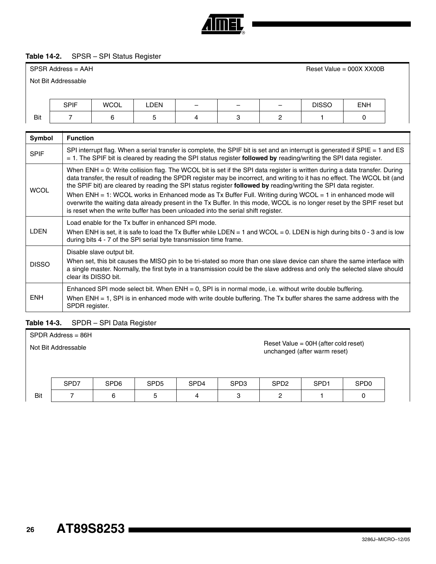

#### <span id="page-25-0"></span>**Table 14-2.** SPSR – SPI Status Register

|               | SPSR Address = AAH<br>Reset Value = $000X$ XX00B                                                                                                                                                                                                                                                                                                                                                                                                                                                                                                                                                                                                                                                           |                                                                                                                                                                                                                                                      |      |   |   |   |                                                                                                                          |            |  |  |
|---------------|------------------------------------------------------------------------------------------------------------------------------------------------------------------------------------------------------------------------------------------------------------------------------------------------------------------------------------------------------------------------------------------------------------------------------------------------------------------------------------------------------------------------------------------------------------------------------------------------------------------------------------------------------------------------------------------------------------|------------------------------------------------------------------------------------------------------------------------------------------------------------------------------------------------------------------------------------------------------|------|---|---|---|--------------------------------------------------------------------------------------------------------------------------|------------|--|--|
|               | Not Bit Addressable                                                                                                                                                                                                                                                                                                                                                                                                                                                                                                                                                                                                                                                                                        |                                                                                                                                                                                                                                                      |      |   |   |   |                                                                                                                          |            |  |  |
|               |                                                                                                                                                                                                                                                                                                                                                                                                                                                                                                                                                                                                                                                                                                            |                                                                                                                                                                                                                                                      |      |   |   |   |                                                                                                                          |            |  |  |
|               | <b>SPIF</b>                                                                                                                                                                                                                                                                                                                                                                                                                                                                                                                                                                                                                                                                                                | <b>WCOL</b>                                                                                                                                                                                                                                          | LDEN |   |   |   | <b>DISSO</b>                                                                                                             | <b>ENH</b> |  |  |
| Bit           |                                                                                                                                                                                                                                                                                                                                                                                                                                                                                                                                                                                                                                                                                                            | 6                                                                                                                                                                                                                                                    | 5    | 4 | 3 | 2 |                                                                                                                          | 0          |  |  |
|               |                                                                                                                                                                                                                                                                                                                                                                                                                                                                                                                                                                                                                                                                                                            |                                                                                                                                                                                                                                                      |      |   |   |   |                                                                                                                          |            |  |  |
| <b>Symbol</b> | <b>Function</b>                                                                                                                                                                                                                                                                                                                                                                                                                                                                                                                                                                                                                                                                                            |                                                                                                                                                                                                                                                      |      |   |   |   |                                                                                                                          |            |  |  |
| <b>SPIF</b>   |                                                                                                                                                                                                                                                                                                                                                                                                                                                                                                                                                                                                                                                                                                            | SPI interrupt flag. When a serial transfer is complete, the SPIF bit is set and an interrupt is generated if SPIE = 1 and ES<br>$=$ 1. The SPIF bit is cleared by reading the SPI status register followed by reading/writing the SPI data register. |      |   |   |   |                                                                                                                          |            |  |  |
| <b>WCOL</b>   | When ENH = 0: Write collision flag. The WCOL bit is set if the SPI data register is written during a data transfer. During<br>data transfer, the result of reading the SPDR register may be incorrect, and writing to it has no effect. The WCOL bit (and<br>the SPIF bit) are cleared by reading the SPI status register followed by reading/writing the SPI data register.<br>When ENH = 1: WCOL works in Enhanced mode as Tx Buffer Full. Writing during WCOL = 1 in enhanced mode will<br>overwrite the waiting data already present in the Tx Buffer. In this mode, WCOL is no longer reset by the SPIF reset but<br>is reset when the write buffer has been unloaded into the serial shift register. |                                                                                                                                                                                                                                                      |      |   |   |   |                                                                                                                          |            |  |  |
| LDEN          |                                                                                                                                                                                                                                                                                                                                                                                                                                                                                                                                                                                                                                                                                                            | Load enable for the Tx buffer in enhanced SPI mode.                                                                                                                                                                                                  |      |   |   |   | When ENH is set, it is safe to load the Tx Buffer while LDEN = 1 and WCOL = 0. LDEN is high during bits 0 - 3 and is low |            |  |  |

|    | during bits 4 - 7 of the SPI serial byte transmission time frame.                                                        |
|----|--------------------------------------------------------------------------------------------------------------------------|
| EN | When ENH is set, it is safe to load the Tx Buffer while LDEN = 1 and WCOL = 0. LDEN is high during bits 0 - 3 and is low |

| <b>DISSO</b> | Disable slave output bit.<br>When set, this bit causes the MISO pin to be tri-stated so more than one slave device can share the same interface with<br>a single master. Normally, the first byte in a transmission could be the slave address and only the selected slave should<br>clear its DISSO bit. |
|--------------|-----------------------------------------------------------------------------------------------------------------------------------------------------------------------------------------------------------------------------------------------------------------------------------------------------------|
| <b>ENH</b>   | Enhanced SPI mode select bit. When $ENH = 0$ , SPI is in normal mode, i.e. without write double buffering.<br>When $ENH = 1$ , SPI is in enhanced mode with write double buffering. The Tx buffer shares the same address with the<br>SPDR register.                                                      |

### **Table 14-3.** SPDR – SPI Data Register

| $SPDR$ Address = 86H |                                                                                                             |   |   |   |                                                                      |                  |                  |                  |  |
|----------------------|-------------------------------------------------------------------------------------------------------------|---|---|---|----------------------------------------------------------------------|------------------|------------------|------------------|--|
|                      | Not Bit Addressable<br>SPD7<br>SPD <sub>6</sub><br>SPD <sub>4</sub><br>SPD <sub>5</sub><br>SPD <sub>3</sub> |   |   |   | Reset Value = 00H (after cold reset)<br>unchanged (after warm reset) |                  |                  |                  |  |
|                      |                                                                                                             |   |   |   |                                                                      | SPD <sub>2</sub> | SPD <sub>1</sub> | SP <sub>D0</sub> |  |
| Bit                  |                                                                                                             | 6 | 5 | 4 | 3                                                                    | 2                |                  | 0                |  |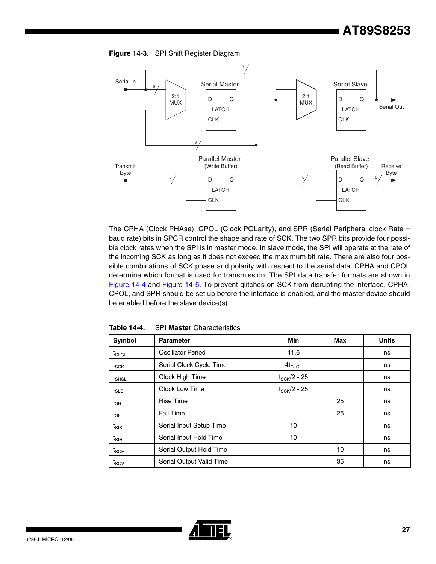



The CPHA (Clock PHAse), CPOL (Clock POLarity), and SPR (Serial Peripheral clock Rate = baud rate) bits in SPCR control the shape and rate of SCK. The two SPR bits provide four possible clock rates when the SPI is in master mode. In slave mode, the SPI will operate at the rate of the incoming SCK as long as it does not exceed the maximum bit rate. There are also four possible combinations of SCK phase and polarity with respect to the serial data. CPHA and CPOL determine which format is used for transmission. The SPI data transfer formats are shown in [Figure 14-4](#page-27-0) and [Figure 14-5.](#page-28-0) To prevent glitches on SCK from disrupting the interface, CPHA, CPOL, and SPR should be set up before the interface is enabled, and the master device should be enabled before the slave device(s).

| <b>Symbol</b>                | <b>Parameter</b>         | Min                     | Max | <b>Units</b> |
|------------------------------|--------------------------|-------------------------|-----|--------------|
| $t_{CLCL}$                   | <b>Oscillator Period</b> | 41.6                    |     | ns           |
| $t_{\scriptstyle\text{SCK}}$ | Serial Clock Cycle Time  | $4t_{CLCL}$             |     | ns           |
| $t_{\sf SHSL}$               | Clock High Time          | $t_{\text{SCK}}/2$ - 25 |     | ns           |
| $t_{SLSH}$                   | <b>Clock Low Time</b>    | $t_{\rm SCK}$ /2 - 25   |     | ns           |
| $t_{\mathsf{SR}}$            | <b>Rise Time</b>         |                         | 25  | ns           |
| $\mathfrak{t}_{\text{SF}}$   | <b>Fall Time</b>         |                         | 25  | ns           |
| $t_{\text{SIS}}$             | Serial Input Setup Time  | 10                      |     | ns           |
| $t_{\text{SIH}}$             | Serial Input Hold Time   | 10                      |     | ns           |
| $t_{\mathsf{SOH}}$           | Serial Output Hold Time  |                         | 10  | ns           |
| $t_{\text{SOV}}$             | Serial Output Valid Time |                         | 35  | ns           |

**Table 14-4.** SPI **Master** Characteristics

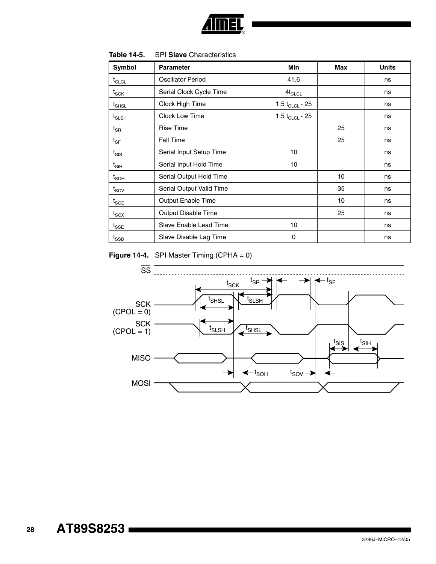

| Symbol                                    | <b>Parameter</b>         | <b>Min</b>                 | Max | <b>Units</b> |
|-------------------------------------------|--------------------------|----------------------------|-----|--------------|
| $t_{CLCL}$                                | Oscillator Period        | 41.6                       |     | ns           |
| $t_{\scriptstyle\text{SCK}}$              | Serial Clock Cycle Time  | $4t_{CLCL}$                |     | ns           |
| $t_{\scriptstyle\text{SHSL}}$             | Clock High Time          | 1.5 t <sub>CLCL</sub> - 25 |     | ns           |
| $\mathfrak{t}_{\text{SLSH}}$              | Clock Low Time           | 1.5 t <sub>CLCL</sub> - 25 |     | ns           |
| $t_{\mathsf{SR}}$                         | <b>Rise Time</b>         |                            | 25  | ns           |
| $\boldsymbol{\mathfrak{t}}_{\textsf{SF}}$ | Fall Time                |                            | 25  | ns           |
| $t_{\text{SIS}}$                          | Serial Input Setup Time  | 10                         |     | ns           |
| $t_{\sf SH}$                              | Serial Input Hold Time   | 10                         |     | ns           |
| $t_{\mathsf{SOH}}$                        | Serial Output Hold Time  |                            | 10  | ns           |
| $t_{\text{SOV}}$                          | Serial Output Valid Time |                            | 35  | ns           |
| $t_{\text{SOE}}$                          | Output Enable Time       |                            | 10  | ns           |
| $t_{\text{SOX}}$                          | Output Disable Time      |                            | 25  | ns           |
| $t_{\text{SSE}}$                          | Slave Enable Lead Time   | 10                         |     | ns           |
| $t_{\scriptstyle\text{SSD}}$              | Slave Disable Lag Time   | 0                          |     | ns           |

**Table 14-5.** SPI **Slave** Characteristics

<span id="page-27-0"></span>**Figure 14-4.** SPI Master Timing (CPHA = 0)

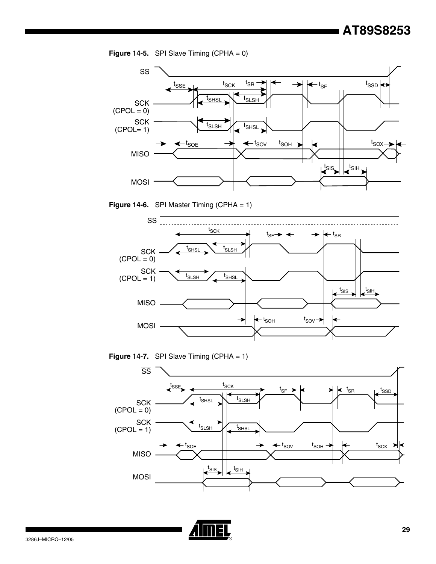<span id="page-28-0"></span>



**Figure 14-6.** SPI Master Timing (CPHA = 1)







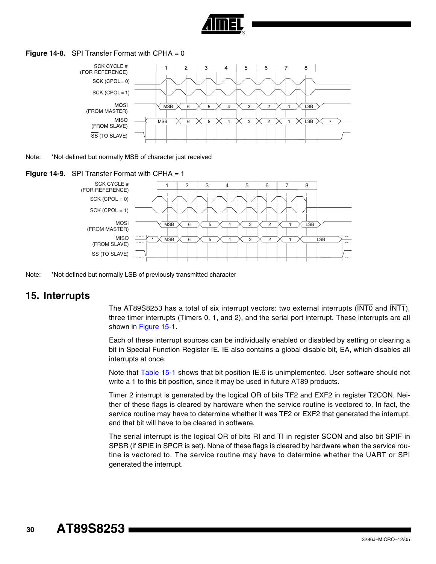

#### **Figure 14-8.** SPI Transfer Format with CPHA = 0



Note: \*Not defined but normally MSB of character just received



Note: \*Not defined but normally LSB of previously transmitted character

#### **15. Interrupts**

The AT89S8253 has a total of six interrupt vectors: two external interrupts ( $\overline{\text{INT0}}$  and  $\overline{\text{INT1}}$ ), three timer interrupts (Timers 0, 1, and 2), and the serial port interrupt. These interrupts are all shown in [Figure 15-1](#page-31-0).

Each of these interrupt sources can be individually enabled or disabled by setting or clearing a bit in Special Function Register IE. IE also contains a global disable bit, EA, which disables all interrupts at once.

Note that [Table 15-1](#page-30-0) shows that bit position IE.6 is unimplemented. User software should not write a 1 to this bit position, since it may be used in future AT89 products.

Timer 2 interrupt is generated by the logical OR of bits TF2 and EXF2 in register T2CON. Neither of these flags is cleared by hardware when the service routine is vectored to. In fact, the service routine may have to determine whether it was TF2 or EXF2 that generated the interrupt, and that bit will have to be cleared in software.

The serial interrupt is the logical OR of bits RI and TI in register SCON and also bit SPIF in SPSR (if SPIE in SPCR is set). None of these flags is cleared by hardware when the service routine is vectored to. The service routine may have to determine whether the UART or SPI generated the interrupt.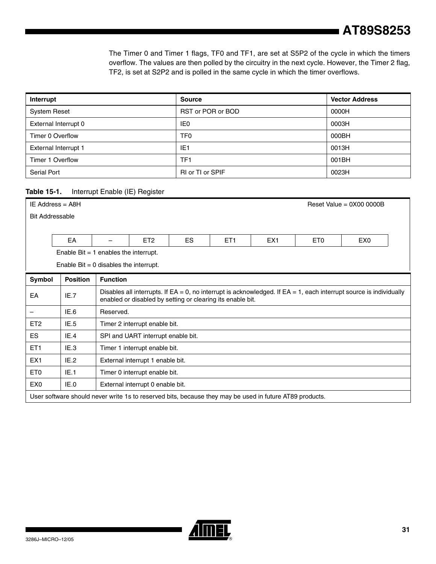The Timer 0 and Timer 1 flags, TF0 and TF1, are set at S5P2 of the cycle in which the timers overflow. The values are then polled by the circuitry in the next cycle. However, the Timer 2 flag, TF2, is set at S2P2 and is polled in the same cycle in which the timer overflows.

| Interrupt                   | <b>Source</b>           | <b>Vector Address</b> |
|-----------------------------|-------------------------|-----------------------|
| <b>System Reset</b>         | RST or POR or BOD       | 0000H                 |
| External Interrupt 0        | IE <sub>0</sub>         | 0003H                 |
| Timer 0 Overflow            | TF0                     | 000BH                 |
| <b>External Interrupt 1</b> | IE <sub>1</sub>         | 0013H                 |
| Timer 1 Overflow            | TF <sub>1</sub>         | 001BH                 |
| Serial Port                 | <b>RI or TI or SPIF</b> | 0023H                 |

#### <span id="page-30-0"></span>**Table 15-1.** Interrupt Enable (IE) Register

|                        | IE Address = $A8H$<br>Reset Value = $0X000000B$ |                                         |                                                                                                                                                                                        |  |  |                                                                                                         |  |  |  |  |  |
|------------------------|-------------------------------------------------|-----------------------------------------|----------------------------------------------------------------------------------------------------------------------------------------------------------------------------------------|--|--|---------------------------------------------------------------------------------------------------------|--|--|--|--|--|
| <b>Bit Addressable</b> |                                                 |                                         |                                                                                                                                                                                        |  |  |                                                                                                         |  |  |  |  |  |
|                        |                                                 |                                         |                                                                                                                                                                                        |  |  |                                                                                                         |  |  |  |  |  |
|                        | EA                                              |                                         | <b>ES</b><br>ET <sub>2</sub><br>ET <sub>1</sub><br>EX <sub>1</sub><br>ET <sub>0</sub><br>EX <sub>0</sub>                                                                               |  |  |                                                                                                         |  |  |  |  |  |
|                        |                                                 | Enable Bit $= 1$ enables the interrupt. |                                                                                                                                                                                        |  |  |                                                                                                         |  |  |  |  |  |
|                        |                                                 | Enable Bit = 0 disables the interrupt.  |                                                                                                                                                                                        |  |  |                                                                                                         |  |  |  |  |  |
| Symbol                 | <b>Position</b>                                 | <b>Function</b>                         |                                                                                                                                                                                        |  |  |                                                                                                         |  |  |  |  |  |
| EA                     | IE.7                                            |                                         | Disables all interrupts. If $EA = 0$ , no interrupt is acknowledged. If $EA = 1$ , each interrupt source is individually<br>enabled or disabled by setting or clearing its enable bit. |  |  |                                                                                                         |  |  |  |  |  |
|                        | IE.6                                            | Reserved.                               |                                                                                                                                                                                        |  |  |                                                                                                         |  |  |  |  |  |
| ET <sub>2</sub>        | IE.5                                            |                                         | Timer 2 interrupt enable bit.                                                                                                                                                          |  |  |                                                                                                         |  |  |  |  |  |
| ES.                    | IE.4                                            |                                         | SPI and UART interrupt enable bit.                                                                                                                                                     |  |  |                                                                                                         |  |  |  |  |  |
| ET <sub>1</sub>        | IE.3                                            |                                         | Timer 1 interrupt enable bit.                                                                                                                                                          |  |  |                                                                                                         |  |  |  |  |  |
| EX <sub>1</sub>        | IE.2                                            |                                         | External interrupt 1 enable bit.                                                                                                                                                       |  |  |                                                                                                         |  |  |  |  |  |
| ET <sub>0</sub>        | IE.1                                            |                                         | Timer 0 interrupt enable bit.                                                                                                                                                          |  |  |                                                                                                         |  |  |  |  |  |
| EX <sub>0</sub>        | IE.0                                            |                                         | External interrupt 0 enable bit.                                                                                                                                                       |  |  |                                                                                                         |  |  |  |  |  |
|                        |                                                 |                                         |                                                                                                                                                                                        |  |  | User software should never write 1s to reserved bits, because they may be used in future AT89 products. |  |  |  |  |  |

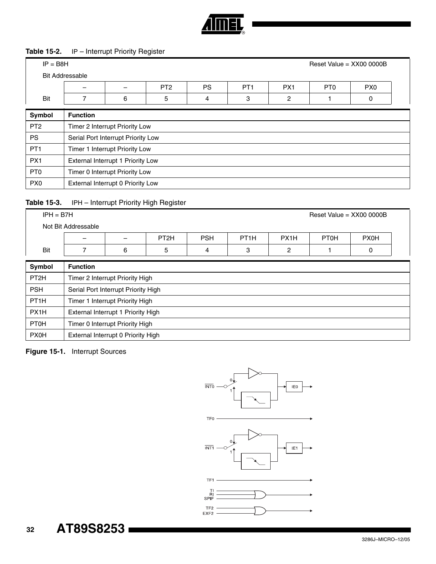

#### **Table 15-2.** IP – Interrupt Priority Register

| $IP = B8H$      | Reset Value = $XX000000B$ |                                    |                 |           |                 |                 |                 |                 |  |  |  |
|-----------------|---------------------------|------------------------------------|-----------------|-----------|-----------------|-----------------|-----------------|-----------------|--|--|--|
|                 | <b>Bit Addressable</b>    |                                    |                 |           |                 |                 |                 |                 |  |  |  |
|                 |                           |                                    | PT <sub>2</sub> | <b>PS</b> | PT <sub>1</sub> | PX <sub>1</sub> | PT <sub>0</sub> | PX <sub>0</sub> |  |  |  |
| Bit             | 7                         | 6                                  | 5               | 4         | 3               | 2               |                 | 0               |  |  |  |
| Symbol          | <b>Function</b>           |                                    |                 |           |                 |                 |                 |                 |  |  |  |
| PT <sub>2</sub> |                           | Timer 2 Interrupt Priority Low     |                 |           |                 |                 |                 |                 |  |  |  |
| <b>PS</b>       |                           | Serial Port Interrupt Priority Low |                 |           |                 |                 |                 |                 |  |  |  |
| PT <sub>1</sub> |                           | Timer 1 Interrupt Priority Low     |                 |           |                 |                 |                 |                 |  |  |  |
| PX <sub>1</sub> |                           | External Interrupt 1 Priority Low  |                 |           |                 |                 |                 |                 |  |  |  |
| PT <sub>0</sub> |                           | Timer 0 Interrupt Priority Low     |                 |           |                 |                 |                 |                 |  |  |  |
| PX <sub>0</sub> |                           | External Interrupt 0 Priority Low  |                 |           |                 |                 |                 |                 |  |  |  |

#### Table 15-3. IPH - Interrupt Priority High Register

|                   | $IPH = B7H$<br>Reset Value = $XX000000B$ |                                     |                  |            |                   |                   |             |             |  |  |
|-------------------|------------------------------------------|-------------------------------------|------------------|------------|-------------------|-------------------|-------------|-------------|--|--|
|                   | Not Bit Addressable                      |                                     |                  |            |                   |                   |             |             |  |  |
|                   |                                          |                                     | PT <sub>2H</sub> | <b>PSH</b> | PT <sub>1</sub> H | PX <sub>1</sub> H | <b>PT0H</b> | <b>PX0H</b> |  |  |
| Bit               |                                          | 6                                   | 5                | 4          | 3                 | 2                 |             | 0           |  |  |
| Symbol            | <b>Function</b>                          |                                     |                  |            |                   |                   |             |             |  |  |
| PT <sub>2H</sub>  |                                          | Timer 2 Interrupt Priority High     |                  |            |                   |                   |             |             |  |  |
| <b>PSH</b>        |                                          | Serial Port Interrupt Priority High |                  |            |                   |                   |             |             |  |  |
| PT <sub>1</sub> H |                                          | Timer 1 Interrupt Priority High     |                  |            |                   |                   |             |             |  |  |
| PX <sub>1</sub> H |                                          | External Interrupt 1 Priority High  |                  |            |                   |                   |             |             |  |  |
| <b>PT0H</b>       |                                          | Timer 0 Interrupt Priority High     |                  |            |                   |                   |             |             |  |  |

#### <span id="page-31-0"></span>**Figure 15-1.** Interrupt Sources

PX0H | External Interrupt 0 Priority High



#### **32 AT89S8253**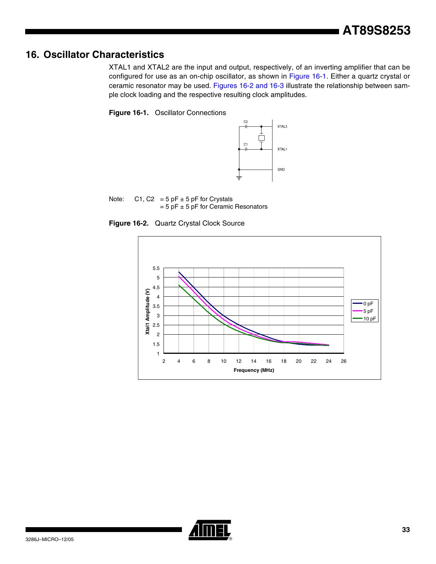# **16. Oscillator Characteristics**

XTAL1 and XTAL2 are the input and output, respectively, of an inverting amplifier that can be configured for use as an on-chip oscillator, as shown in [Figure 16-1.](#page-32-0) Either a quartz crystal or ceramic resonator may be used. [Figures 16-2 and](#page-32-1) [16-3](#page-33-0) illustrate the relationship between sample clock loading and the respective resulting clock amplitudes.

#### <span id="page-32-0"></span>**Figure 16-1.** Oscillator Connections



Note:  $C1, C2 = 5 pF \pm 5 pF$  for Crystals  $= 5$  pF  $\pm$  5 pF for Ceramic Resonators

<span id="page-32-1"></span>



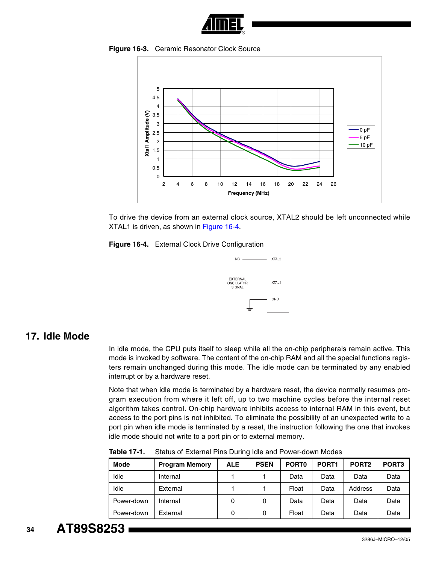

**Figure 16-3.** Ceramic Resonator Clock Source

<span id="page-33-0"></span>

To drive the device from an external clock source, XTAL2 should be left unconnected while XTAL1 is driven, as shown in [Figure 16-4.](#page-33-1)

<span id="page-33-1"></span>



# **17. Idle Mode**

In idle mode, the CPU puts itself to sleep while all the on-chip peripherals remain active. This mode is invoked by software. The content of the on-chip RAM and all the special functions registers remain unchanged during this mode. The idle mode can be terminated by any enabled interrupt or by a hardware reset.

Note that when idle mode is terminated by a hardware reset, the device normally resumes program execution from where it left off, up to two machine cycles before the internal reset algorithm takes control. On-chip hardware inhibits access to internal RAM in this event, but access to the port pins is not inhibited. To eliminate the possibility of an unexpected write to a port pin when idle mode is terminated by a reset, the instruction following the one that invokes idle mode should not write to a port pin or to external memory.

| <b>Mode</b> | <b>Program Memory</b> | <b>ALE</b> | <b>PSEN</b> | PORT <sub>0</sub> | PORT <sub>1</sub> | PORT <sub>2</sub> | PORT <sub>3</sub> |
|-------------|-----------------------|------------|-------------|-------------------|-------------------|-------------------|-------------------|
| Idle        | Internal              |            |             | Data              | Data              | Data              | Data              |
| Idle        | External              |            |             | Float             | Data              | Address           | Data              |
| Power-down  | Internal              | 0          | 0           | Data              | Data              | Data              | Data              |
| Power-down  | External              | 0          | 0           | Float             | Data              | Data              | Data              |

**Table 17-1.** Status of External Pins During Idle and Power-down Modes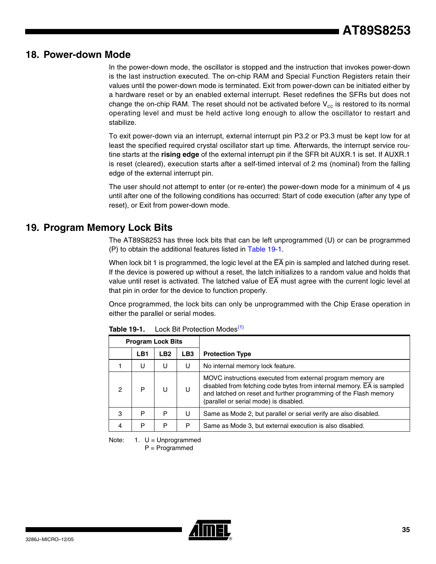### **18. Power-down Mode**

In the power-down mode, the oscillator is stopped and the instruction that invokes power-down is the last instruction executed. The on-chip RAM and Special Function Registers retain their values until the power-down mode is terminated. Exit from power-down can be initiated either by a hardware reset or by an enabled external interrupt. Reset redefines the SFRs but does not change the on-chip RAM. The reset should not be activated before  $V_{\text{cc}}$  is restored to its normal operating level and must be held active long enough to allow the oscillator to restart and stabilize.

To exit power-down via an interrupt, external interrupt pin P3.2 or P3.3 must be kept low for at least the specified required crystal oscillator start up time. Afterwards, the interrupt service routine starts at the **rising edge** of the external interrupt pin if the SFR bit AUXR.1 is set. If AUXR.1 is reset (cleared), execution starts after a self-timed interval of 2 ms (nominal) from the falling edge of the external interrupt pin.

The user should not attempt to enter (or re-enter) the power-down mode for a minimum of 4 µs until after one of the following conditions has occurred: Start of code execution (after any type of reset), or Exit from power-down mode.

### **19. Program Memory Lock Bits**

The AT89S8253 has three lock bits that can be left unprogrammed (U) or can be programmed (P) to obtain the additional features listed in [Table 19-1.](#page-34-1)

When lock bit 1 is programmed, the logic level at the  $\overline{EA}$  pin is sampled and latched during reset. If the device is powered up without a reset, the latch initializes to a random value and holds that value until reset is activated. The latched value of  $\overline{\mathsf{EA}}$  must agree with the current logic level at that pin in order for the device to function properly.

Once programmed, the lock bits can only be unprogrammed with the Chip Erase operation in either the parallel or serial modes.

| <b>Program Lock Bits</b> |     |                 |                 |                                                                                                                                                                                                                                                                 |
|--------------------------|-----|-----------------|-----------------|-----------------------------------------------------------------------------------------------------------------------------------------------------------------------------------------------------------------------------------------------------------------|
|                          | LB1 | LB <sub>2</sub> | LB <sub>3</sub> | <b>Protection Type</b>                                                                                                                                                                                                                                          |
|                          | U   | П               | U               | No internal memory lock feature.                                                                                                                                                                                                                                |
| 2                        | P   |                 | U               | MOVC instructions executed from external program memory are<br>disabled from fetching code bytes from internal memory. $\overline{EA}$ is sampled<br>and latched on reset and further programming of the Flash memory<br>(parallel or serial mode) is disabled. |
| 3                        | P   | P               | U               | Same as Mode 2, but parallel or serial verify are also disabled.                                                                                                                                                                                                |
| 4                        | P   | P               | P               | Same as Mode 3, but external execution is also disabled.                                                                                                                                                                                                        |

<span id="page-34-1"></span>**Table 19-1.** Lock Bit Protection Modes<sup>[\(1\)](#page-34-0)</sup>

<span id="page-34-0"></span>Note:  $1. U =$  Unprogrammed

P = Programmed

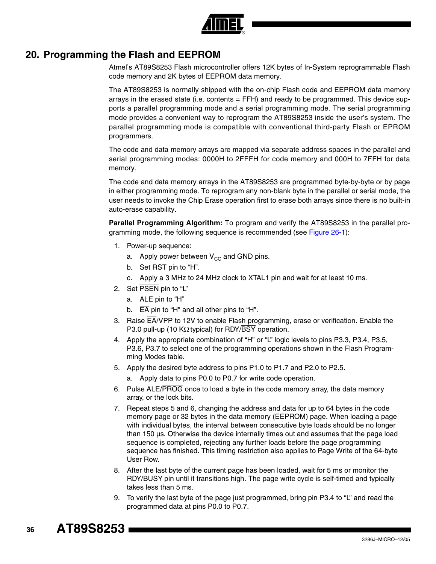

# **20. Programming the Flash and EEPROM**

Atmel's AT89S8253 Flash microcontroller offers 12K bytes of In-System reprogrammable Flash code memory and 2K bytes of EEPROM data memory.

The AT89S8253 is normally shipped with the on-chip Flash code and EEPROM data memory arrays in the erased state (i.e. contents = FFH) and ready to be programmed. This device supports a parallel programming mode and a serial programming mode. The serial programming mode provides a convenient way to reprogram the AT89S8253 inside the user's system. The parallel programming mode is compatible with conventional third-party Flash or EPROM programmers.

The code and data memory arrays are mapped via separate address spaces in the parallel and serial programming modes: 0000H to 2FFFH for code memory and 000H to 7FFH for data memory.

The code and data memory arrays in the AT89S8253 are programmed byte-by-byte or by page in either programming mode. To reprogram any non-blank byte in the parallel or serial mode, the user needs to invoke the Chip Erase operation first to erase both arrays since there is no built-in auto-erase capability.

**Parallel Programming Algorithm:** To program and verify the AT89S8253 in the parallel pro-gramming mode, the following sequence is recommended (see [Figure 26-1](#page-43-0)):

- 1. Power-up sequence:
	- a. Apply power between  $V_{CC}$  and GND pins.
	- b. Set RST pin to "H".
	- c. Apply a 3 MHz to 24 MHz clock to XTAL1 pin and wait for at least 10 ms.
- 2. Set PSEN pin to "L"
	- a. ALE pin to "H"
	- b.  $\overline{EA}$  pin to "H" and all other pins to "H".
- 3. Raise EA/VPP to 12V to enable Flash programming, erase or verification. Enable the P3.0 pull-up (10 KΩ typical) for RDY/BSY operation.
- 4. Apply the appropriate combination of "H" or "L" logic levels to pins P3.3, P3.4, P3.5, P3.6, P3.7 to select one of the programming operations shown in the Flash Programming Modes table.
- 5. Apply the desired byte address to pins P1.0 to P1.7 and P2.0 to P2.5.
	- a. Apply data to pins P0.0 to P0.7 for write code operation.
- 6. Pulse ALE/PROG once to load a byte in the code memory array, the data memory array, or the lock bits.
- 7. Repeat steps 5 and 6, changing the address and data for up to 64 bytes in the code memory page or 32 bytes in the data memory (EEPROM) page. When loading a page with individual bytes, the interval between consecutive byte loads should be no longer than 150 µs. Otherwise the device internally times out and assumes that the page load sequence is completed, rejecting any further loads before the page programming sequence has finished. This timing restriction also applies to Page Write of the 64-byte User Row.
- 8. After the last byte of the current page has been loaded, wait for 5 ms or monitor the RDY/BUSY pin until it transitions high. The page write cycle is self-timed and typically takes less than 5 ms.
- 9. To verify the last byte of the page just programmed, bring pin P3.4 to "L" and read the programmed data at pins P0.0 to P0.7.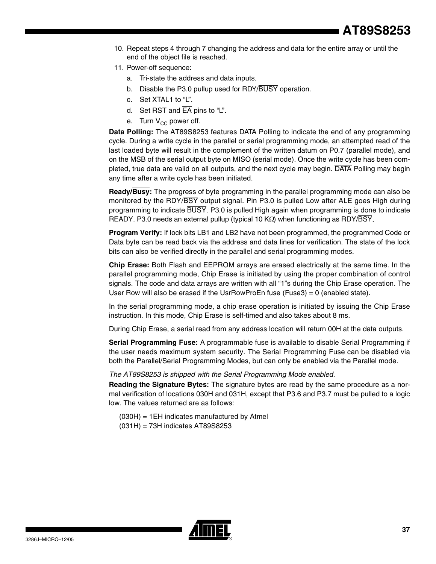- 10. Repeat steps 4 through 7 changing the address and data for the entire array or until the end of the object file is reached.
- 11. Power-off sequence:
	- a. Tri-state the address and data inputs.
	- b. Disable the P3.0 pullup used for RDY/BUSY operation.
	- c. Set XTAL1 to "L".
	- d. Set RST and  $\overline{EA}$  pins to "L".
	- e. Turn  $V_{CC}$  power off.

**Data Polling:** The AT89S8253 features DATA Polling to indicate the end of any programming cycle. During a write cycle in the parallel or serial programming mode, an attempted read of the last loaded byte will result in the complement of the written datum on P0.7 (parallel mode), and on the MSB of the serial output byte on MISO (serial mode). Once the write cycle has been completed, true data are valid on all outputs, and the next cycle may begin. DATA Polling may begin any time after a write cycle has been initiated.

**Ready/Busy:** The progress of byte programming in the parallel programming mode can also be monitored by the RDY/BSY output signal. Pin P3.0 is pulled Low after ALE goes High during programming to indicate BUSY. P3.0 is pulled High again when programming is done to indicate READY. P3.0 needs an external pullup (typical 10 KΩ) when functioning as RDY/BSY.

**Program Verify:** If lock bits LB1 and LB2 have not been programmed, the programmed Code or Data byte can be read back via the address and data lines for verification. The state of the lock bits can also be verified directly in the parallel and serial programming modes.

**Chip Erase:** Both Flash and EEPROM arrays are erased electrically at the same time. In the parallel programming mode, Chip Erase is initiated by using the proper combination of control signals. The code and data arrays are written with all "1"s during the Chip Erase operation. The User Row will also be erased if the UsrRowProEn fuse (Fuse3) =  $0$  (enabled state).

In the serial programming mode, a chip erase operation is initiated by issuing the Chip Erase instruction. In this mode, Chip Erase is self-timed and also takes about 8 ms.

During Chip Erase, a serial read from any address location will return 00H at the data outputs.

**Serial Programming Fuse:** A programmable fuse is available to disable Serial Programming if the user needs maximum system security. The Serial Programming Fuse can be disabled via both the Parallel/Serial Programming Modes, but can only be enabled via the Parallel mode.

#### *The AT89S8253 is shipped with the Serial Programming Mode enabled.*

**Reading the Signature Bytes:** The signature bytes are read by the same procedure as a normal verification of locations 030H and 031H, except that P3.6 and P3.7 must be pulled to a logic low. The values returned are as follows:

(030H) = 1EH indicates manufactured by Atmel (031H) = 73H indicates AT89S8253

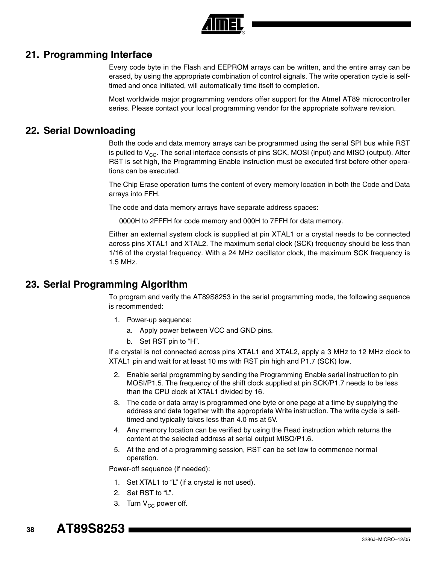

### **21. Programming Interface**

Every code byte in the Flash and EEPROM arrays can be written, and the entire array can be erased, by using the appropriate combination of control signals. The write operation cycle is selftimed and once initiated, will automatically time itself to completion.

Most worldwide major programming vendors offer support for the Atmel AT89 microcontroller series. Please contact your local programming vendor for the appropriate software revision.

# **22. Serial Downloading**

Both the code and data memory arrays can be programmed using the serial SPI bus while RST is pulled to  $V_{CC}$ . The serial interface consists of pins SCK, MOSI (input) and MISO (output). After RST is set high, the Programming Enable instruction must be executed first before other operations can be executed.

The Chip Erase operation turns the content of every memory location in both the Code and Data arrays into FFH.

The code and data memory arrays have separate address spaces:

0000H to 2FFFH for code memory and 000H to 7FFH for data memory.

Either an external system clock is supplied at pin XTAL1 or a crystal needs to be connected across pins XTAL1 and XTAL2. The maximum serial clock (SCK) frequency should be less than 1/16 of the crystal frequency. With a 24 MHz oscillator clock, the maximum SCK frequency is 1.5 MHz.

# **23. Serial Programming Algorithm**

To program and verify the AT89S8253 in the serial programming mode, the following sequence is recommended:

- 1. Power-up sequence:
	- a. Apply power between VCC and GND pins.
	- b. Set RST pin to "H".

If a crystal is not connected across pins XTAL1 and XTAL2, apply a 3 MHz to 12 MHz clock to XTAL1 pin and wait for at least 10 ms with RST pin high and P1.7 (SCK) low.

- 2. Enable serial programming by sending the Programming Enable serial instruction to pin MOSI/P1.5. The frequency of the shift clock supplied at pin SCK/P1.7 needs to be less than the CPU clock at XTAL1 divided by 16.
- 3. The code or data array is programmed one byte or one page at a time by supplying the address and data together with the appropriate Write instruction. The write cycle is selftimed and typically takes less than 4.0 ms at 5V.
- 4. Any memory location can be verified by using the Read instruction which returns the content at the selected address at serial output MISO/P1.6.
- 5. At the end of a programming session, RST can be set low to commence normal operation.

Power-off sequence (if needed):

- 1. Set XTAL1 to "L" (if a crystal is not used).
- 2. Set RST to "L".
- 3. Turn  $V_{CC}$  power off.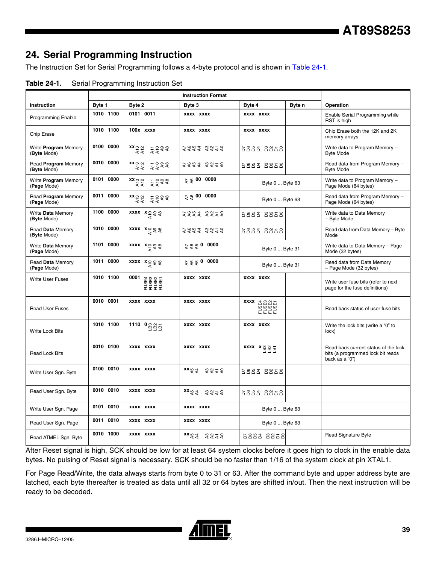# **24. Serial Programming Instruction**

The Instruction Set for Serial Programming follows a 4-byte protocol and is shown in [Table 24-1](#page-38-0).

<span id="page-38-0"></span>

|                                     | <b>Instruction Format</b> |                                                                                                                                                                                                                                                                                                                       |                                          |                                                                                              |        |                                                                                             |
|-------------------------------------|---------------------------|-----------------------------------------------------------------------------------------------------------------------------------------------------------------------------------------------------------------------------------------------------------------------------------------------------------------------|------------------------------------------|----------------------------------------------------------------------------------------------|--------|---------------------------------------------------------------------------------------------|
| Instruction                         | Byte 1                    | Byte 2                                                                                                                                                                                                                                                                                                                | Byte 3                                   | Byte 4                                                                                       | Byte n | Operation                                                                                   |
| <b>Programming Enable</b>           | 1010 1100                 | 0101 0011                                                                                                                                                                                                                                                                                                             | <b>XXXX XXXX</b>                         | <b>XXXX XXXX</b>                                                                             |        | Enable Serial Programming while<br>RST is high                                              |
| Chip Erase                          | 1010 1100                 | 100x xxxx                                                                                                                                                                                                                                                                                                             | <b>XXXX XXXX</b>                         | <b>XXXX XXXX</b>                                                                             |        | Chip Erase both the 12K and 2K<br>memory arrays                                             |
| Write Program Memory<br>(Byte Mode) | 0100 0000                 | $\frac{xx}{55}$ $\frac{5}{5}$ $\frac{2}{5}$ $\frac{2}{5}$ $\frac{2}{5}$ $\frac{2}{5}$ $\frac{2}{5}$ $\frac{2}{5}$ $\frac{2}{5}$ $\frac{2}{5}$ $\frac{2}{5}$ $\frac{2}{5}$ $\frac{2}{5}$ $\frac{2}{5}$ $\frac{2}{5}$ $\frac{2}{5}$ $\frac{2}{5}$ $\frac{2}{5}$ $\frac{2}{5}$ $\frac{2}{5}$ $\frac{2}{5}$ $\frac{2}{5}$ | 5223 2258                                | 6888 8858                                                                                    |        | Write data to Program Memory -<br><b>Byte Mode</b>                                          |
| Read Program Memory<br>(Byte Mode)  | 0010 0000                 | $\frac{xx}{4}$<br>77088                                                                                                                                                                                                                                                                                               | दरदर दक्षर                               | 6883 8858                                                                                    |        | Read data from Program Memory -<br><b>Byte Mode</b>                                         |
| Write Program Memory<br>(Page Mode) | 0101 0000                 | $\frac{XX}{4}$ $\frac{3}{4}$<br>두 문 우 옥<br>두 국 옥 옥                                                                                                                                                                                                                                                                    | 2 % 00 0000                              | Byte 0  Byte 63                                                                              |        | Write data to Program Memory -<br>Page Mode (64 bytes)                                      |
| Read Program Memory<br>(Page Mode)  | 0011 0000                 | $\frac{xx}{55}$ $\frac{5}{5}$ $\frac{2}{5}$ $\frac{2}{5}$ $\frac{2}{5}$ $\frac{2}{5}$ $\frac{2}{5}$ $\frac{2}{5}$ $\frac{2}{5}$ $\frac{2}{5}$ $\frac{2}{5}$ $\frac{2}{5}$ $\frac{2}{5}$ $\frac{2}{5}$ $\frac{2}{5}$ $\frac{2}{5}$ $\frac{2}{5}$ $\frac{2}{5}$ $\frac{2}{5}$ $\frac{2}{5}$ $\frac{2}{5}$ $\frac{2}{5}$ | 2 2 00 0000                              | Byte 0  Byte 63                                                                              |        | Read data from Program Memory -<br>Page Mode (64 bytes)                                     |
| Write Data Memory<br>(Byte Mode)    | 1100 0000                 | $xxxx x \frac{1}{2}$                                                                                                                                                                                                                                                                                                  |                                          | 6888 8858                                                                                    |        | Write data to Data Memory<br>- Byte Mode                                                    |
| Read Data Memory<br>(Byte Mode)     | 1010 0000                 | xxxx xgas                                                                                                                                                                                                                                                                                                             | दक्ष्द दक्ष्द्र                          | 6883 8858                                                                                    |        | Read data from Data Memory - Byte<br>Mode                                                   |
| Write Data Memory<br>(Page Mode)    | 1101 0000                 | $xxxx x \frac{1}{2}$                                                                                                                                                                                                                                                                                                  | 국은 0 0000                                | Byte 0  Byte 31                                                                              |        | Write data to Data Memory - Page<br>Mode (32 bytes)                                         |
| Read Data Memory<br>(Page Mode)     | 1011 0000                 | $\begin{array}{ccc} x & x & z \\ x & z & z \\ y & z & z \end{array}$                                                                                                                                                                                                                                                  | 국운문 0 0000                               | Byte 0  Byte 31                                                                              |        | Read data from Data Memory<br>- Page Mode (32 bytes)                                        |
| <b>Write User Fuses</b>             | 1010 1100                 | 0001<br><b>222222</b><br>22222                                                                                                                                                                                                                                                                                        | XXXX XXXX                                | <b>XXXX XXXX</b>                                                                             |        | Write user fuse bits (refer to next<br>page for the fuse definitions)                       |
| <b>Read User Fuses</b>              | 0010 0001                 | XXXX XXXX                                                                                                                                                                                                                                                                                                             | XXXX XXXX                                |                                                                                              |        | Read back status of user fuse bits                                                          |
| <b>Write Lock Bits</b>              | 1010 1100                 | 1110 $0\frac{885}{995}$                                                                                                                                                                                                                                                                                               | XXXX XXXX                                | XXXX XXXX                                                                                    |        | Write the lock bits (write a "0" to<br>lock)                                                |
| <b>Read Lock Bits</b>               | 0010 0100                 | <b>XXXX XXXX</b>                                                                                                                                                                                                                                                                                                      | <b>XXXX XXXX</b>                         | $\overline{xxxx}$ $\overline{x}$ $\overline{y}$ $\overline{y}$ $\overline{y}$ $\overline{y}$ |        | Read back current status of the lock<br>bits (a programmed lock bit reads<br>back as a "0") |
| Write User Sgn. Byte                | 0100 0010                 | <b>XXXX XXXX</b>                                                                                                                                                                                                                                                                                                      | $xx^{3}$ $x^{4}$ $x^{5}$ $x^{6}$ $x^{7}$ | 6883 8858                                                                                    |        |                                                                                             |
| Read User Sgn. Byte                 | 0010 0010                 | <b>XXXX XXXX</b>                                                                                                                                                                                                                                                                                                      | $xx^{\pi}$ as sars                       | 6883 8858                                                                                    |        |                                                                                             |
| Write User Sqn. Page                | 0101 0010                 | <b>XXXX XXXX</b>                                                                                                                                                                                                                                                                                                      | <b>XXXX XXXX</b>                         | Byte 0  Byte 63                                                                              |        |                                                                                             |
| Read User Sgn. Page                 | 0011<br>0010              | <b>XXXX XXXX</b>                                                                                                                                                                                                                                                                                                      | <b>XXXX XXXX</b>                         | Byte 0  Byte 63                                                                              |        |                                                                                             |
| Read ATMEL Sgn. Byte                | 0010 1000                 | XXXX XXXX                                                                                                                                                                                                                                                                                                             | $xx^{6}$ $\xi$ $\xi$ $\xi$ $\xi$ $\xi$   | RERR RREA                                                                                    |        | <b>Read Signature Byte</b>                                                                  |

After Reset signal is high, SCK should be low for at least 64 system clocks before it goes high to clock in the enable data bytes. No pulsing of Reset signal is necessary. SCK should be no faster than 1/16 of the system clock at pin XTAL1.

For Page Read/Write, the data always starts from byte 0 to 31 or 63. After the command byte and upper address byte are latched, each byte thereafter is treated as data until all 32 or 64 bytes are shifted in/out. Then the next instruction will be ready to be decoded.

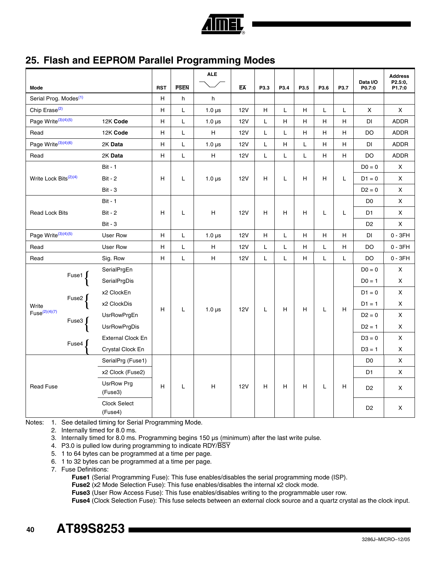

# **25. Flash and EEPROM Parallel Programming Modes**

|                                   |                        |                                |                           |                                                                                                             | <b>ALE</b>    |            |                           |      |      |                           |      |                    | <b>Address</b>     |
|-----------------------------------|------------------------|--------------------------------|---------------------------|-------------------------------------------------------------------------------------------------------------|---------------|------------|---------------------------|------|------|---------------------------|------|--------------------|--------------------|
| Mode                              |                        |                                | <b>RST</b>                | <b>PSEN</b>                                                                                                 |               | EA         | P3.3                      | P3.4 | P3.5 | P3.6                      | P3.7 | Data I/O<br>P0.7:0 | P2.5:0,<br>P1.7:0  |
| Serial Prog. Modes <sup>(1)</sup> |                        |                                | н                         | h                                                                                                           | h             |            |                           |      |      |                           |      |                    |                    |
| Chip Erase <sup>(2)</sup>         |                        |                                | н                         | L                                                                                                           | $1.0 \,\mu s$ | <b>12V</b> | $\boldsymbol{\mathsf{H}}$ | L    | H    | L                         | L    | $\pmb{\times}$     | X                  |
| Page Write <sup>(3)(4)(5)</sup>   |                        | 12K Code                       | н                         | L                                                                                                           | $1.0 \,\mu s$ | 12V        | L                         | H    | Н    | н                         | н    | DI                 | <b>ADDR</b>        |
| Read                              |                        | 12K Code                       | $\boldsymbol{\mathsf{H}}$ | L                                                                                                           | H             | <b>12V</b> | L                         | L    | Н    | Н                         | Н    | DO                 | ADDR               |
| Page Write <sup>(3)(4)(6)</sup>   |                        | 2K Data                        | н                         | L                                                                                                           | $1.0 \,\mu s$ | 12V        | Г                         | H    | L    | H                         | H    | DI                 | <b>ADDR</b>        |
| Read                              |                        | 2K Data                        | $\mathsf H$               | $\mathsf{L}% _{0}\left( \mathsf{L}_{0}\right) ^{\ast }=\mathsf{L}_{0}\left( \mathsf{L}_{0}\right) ^{\ast }$ | H             | <b>12V</b> | L                         | L    | L    | $\boldsymbol{\mathsf{H}}$ | H    | <b>DO</b>          | <b>ADDR</b>        |
|                                   |                        | <b>Bit - 1</b>                 |                           |                                                                                                             |               |            |                           |      |      |                           |      | $D0 = 0$           | X                  |
| Write Lock Bits <sup>(2)(4)</sup> |                        | <b>Bit - 2</b>                 | н                         | L                                                                                                           | $1.0 \,\mu s$ | 12V        | н                         | L    | Н    | н                         | L    | $D1 = 0$           | X                  |
|                                   |                        | <b>Bit - 3</b>                 |                           |                                                                                                             |               |            |                           |      |      |                           |      | $D2 = 0$           | X                  |
|                                   |                        | <b>Bit - 1</b>                 |                           |                                                                                                             |               |            |                           |      |      |                           |      | D <sub>0</sub>     | X                  |
| <b>Read Lock Bits</b>             |                        | <b>Bit - 2</b>                 | Н                         | L                                                                                                           | н             | <b>12V</b> | Н                         | н    | H    | L                         | Г    | D <sub>1</sub>     | X                  |
|                                   | <b>Bit - 3</b>         |                                |                           |                                                                                                             |               |            |                           |      |      |                           |      | D <sub>2</sub>     | $\mathsf X$        |
| Page Write <sup>(3)(4)(5)</sup>   |                        | User Row                       | H                         | L                                                                                                           | $1.0 \,\mu s$ | <b>12V</b> | $\boldsymbol{\mathsf{H}}$ | L    | H    | H                         | H    | DI                 | $0 - 3FH$          |
| Read                              |                        | User Row                       | $\boldsymbol{\mathsf{H}}$ | L                                                                                                           | н             | <b>12V</b> | L                         | L    | н    | L                         | н    | DO                 | $0 - 3FH$          |
| Read                              |                        | Sig. Row                       | н                         | L                                                                                                           | H             | 12V        | L                         | L    | H    | L                         | L.   | DO                 | $0 - 3FH$          |
|                                   | Fuse1 $\int$           | SerialPrgEn                    |                           |                                                                                                             |               |            |                           |      |      |                           |      | $D0 = 0$           | X                  |
|                                   |                        | SerialPrgDis                   |                           |                                                                                                             |               |            |                           |      |      |                           |      | $DO = 1$           | X                  |
|                                   |                        | x2 ClockEn                     |                           |                                                                                                             |               |            |                           |      |      |                           |      | $D1 = 0$           | $\pmb{\times}$     |
| Write                             | Fuse2 $\int$           | x2 ClockDis                    | H                         | L                                                                                                           | $1.0 \,\mu s$ | 12V        | L                         | H    |      | L                         | H    | $D1 = 1$           | $\mathsf{x}$       |
| $Fuse^{(2)(4)(7)}$                |                        | <b>UsrRowPrgEn</b>             |                           |                                                                                                             |               |            |                           |      | H    |                           |      | $D2 = 0$           | $\pmb{\times}$     |
|                                   | Fuse3 $\left\{\right.$ | <b>UsrRowPrgDis</b>            |                           |                                                                                                             |               |            |                           |      |      |                           |      | $D2 = 1$           | X                  |
|                                   | Fuse4                  | <b>External Clock En</b>       |                           |                                                                                                             |               |            |                           |      |      |                           |      | $D3 = 0$           | X                  |
|                                   |                        | Crystal Clock En               |                           |                                                                                                             |               |            |                           |      |      |                           |      | $D3 = 1$           | $\pmb{\mathsf{X}}$ |
|                                   |                        | SerialPrg (Fuse1)              |                           |                                                                                                             |               |            |                           |      |      |                           |      | D <sub>0</sub>     | $\mathsf{x}$       |
|                                   |                        | x2 Clock (Fuse2)               |                           |                                                                                                             |               |            |                           |      |      |                           |      | D1                 | X                  |
| <b>Read Fuse</b>                  |                        | <b>UsrRow Prg</b><br>(Fuse3)   | н                         | L                                                                                                           | н             | 12V        | н                         | н    | Н    | L                         | н    | D <sub>2</sub>     | X                  |
|                                   |                        | <b>Clock Select</b><br>(Fuse4) |                           |                                                                                                             |               |            |                           |      |      |                           |      | D <sub>2</sub>     | X                  |

<span id="page-39-3"></span><span id="page-39-2"></span><span id="page-39-1"></span><span id="page-39-0"></span>Notes: 1. See detailed timing for Serial Programming Mode.

2. Internally timed for 8.0 ms.

3. Internally timed for 8.0 ms. Programming begins 150 µs (minimum) after the last write pulse.

4. P3.0 is pulled low during programming to indicate RDY/BSY

- <span id="page-39-4"></span>5. 1 to 64 bytes can be programmed at a time per page.
- <span id="page-39-5"></span>6. 1 to 32 bytes can be programmed at a time per page.
- <span id="page-39-6"></span>7. Fuse Definitions:

**Fuse1** (Serial Programming Fuse): This fuse enables/disables the serial programming mode (ISP).

**Fuse2** (x2 Mode Selection Fuse): This fuse enables/disables the internal x2 clock mode.

**Fuse3** (User Row Access Fuse): This fuse enables/disables writing to the programmable user row.

**Fuse4** (Clock Selection Fuse): This fuse selects between an external clock source and a quartz crystal as the clock input.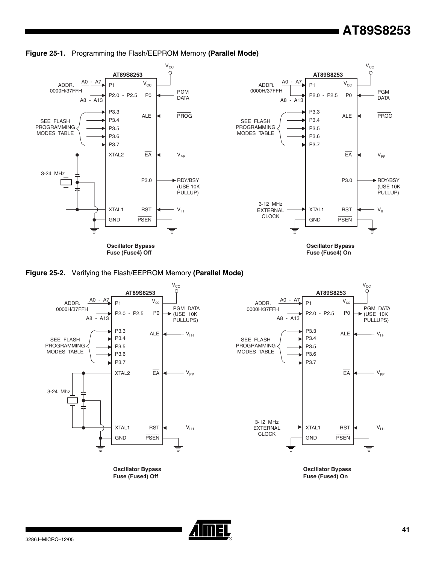# **AT89S8253**









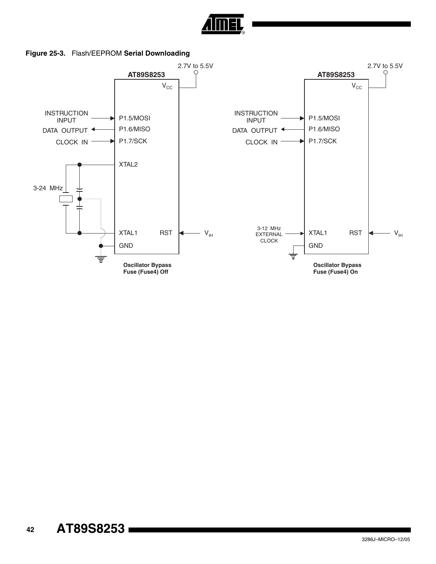

**Figure 25-3.** Flash/EEPROM **Serial Downloading**

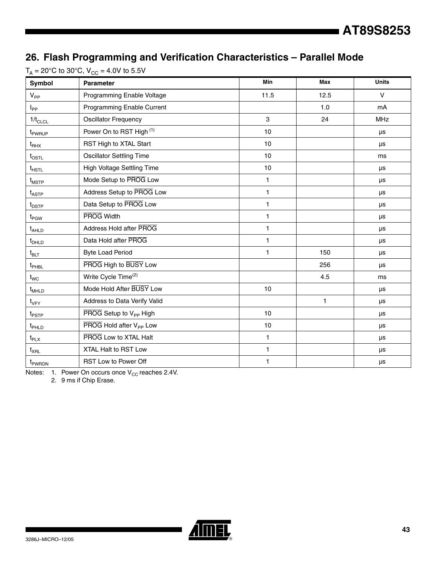# **26. Flash Programming and Verification Characteristics – Parallel Mode**

| Symbol                        | <b>Parameter</b>                    | Min          | <b>Max</b>   | <b>Units</b> |
|-------------------------------|-------------------------------------|--------------|--------------|--------------|
| $V_{PP}$                      | Programming Enable Voltage          | 11.5         | 12.5         | $\vee$       |
| $I_{PP}$                      | Programming Enable Current          |              | 1.0          | mA           |
| $1/t_{CLCL}$                  | <b>Oscillator Frequency</b>         | 3            | 24           | MHz          |
| t <sub>PWRUP</sub>            | Power On to RST High (1)            | 10           |              | μs           |
| $\mathfrak{t}_{\mathsf{RHX}}$ | RST High to XTAL Start              | 10           |              | μs           |
| $t_{\mathsf{OSTL}}$           | <b>Oscillator Settling Time</b>     | 10           |              | ms           |
| $t$ <sub>HSTL</sub>           | High Voltage Settling Time          | 10           |              | μs           |
| $\mathfrak{t}_{\text{MSTP}}$  | Mode Setup to PROG Low              | 1            |              | μs           |
| $t_{\sf ASTP}$                | Address Setup to PROG Low           | $\mathbf{1}$ |              | μs           |
| $t_{\text{DSTP}}$             | Data Setup to PROG Low              | 1            |              | μs           |
| $t_{PGW}$                     | <b>PROG Width</b>                   | $\mathbf{1}$ |              | μs           |
| $t_{AHLD}$                    | Address Hold after PROG             | 1            |              | μs           |
| $t_{DHLD}$                    | Data Hold after PROG                | 1            |              | μs           |
| $t_{\text{BLT}}$              | <b>Byte Load Period</b>             | 1            | 150          | μs           |
| t <sub>PHBL</sub>             | PROG High to BUSY Low               |              | 256          | μs           |
| $t_{WC}$                      | Write Cycle Time <sup>(2)</sup>     |              | 4.5          | ms           |
| $t_{MHLD}$                    | Mode Hold After BUSY Low            | 10           |              | μs           |
| $t_{VFY}$                     | Address to Data Verify Valid        |              | $\mathbf{1}$ | μs           |
| $t_{\mathsf{PSTP}}$           | PROG Setup to V <sub>PP</sub> High  | 10           |              | μs           |
| t <sub>PHLD</sub>             | PROG Hold after V <sub>PP</sub> Low | 10           |              | μs           |
| $t_{\sf PLX}$                 | PROG Low to XTAL Halt               | 1            |              | μs           |
| $t_{XRL}$                     | XTAL Halt to RST Low                | 1            |              | μs           |
| t <sub>PWRDN</sub>            | RST Low to Power Off                | 1            |              | μs           |

 $T_A = 20^{\circ}$ C to 30°C,  $V_{CC} = 4.0V$  to 5.5V

Notes: 1. Power On occurs once  $V_{CC}$  reaches 2.4V.

2. 9 ms if Chip Erase.

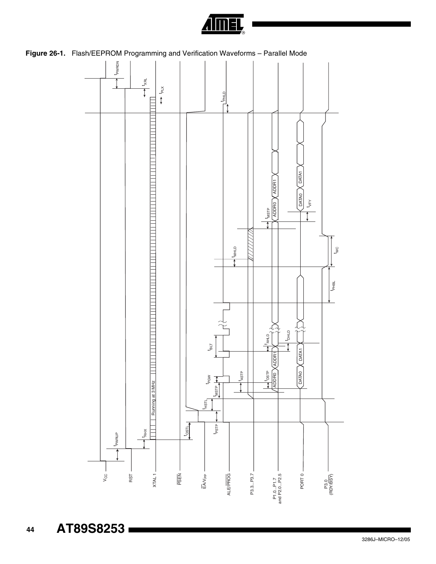

<span id="page-43-0"></span>**Figure 26-1.** Flash/EEPROM Programming and Verification Waveforms – Parallel Mode



**AT89S8253** 

 **44**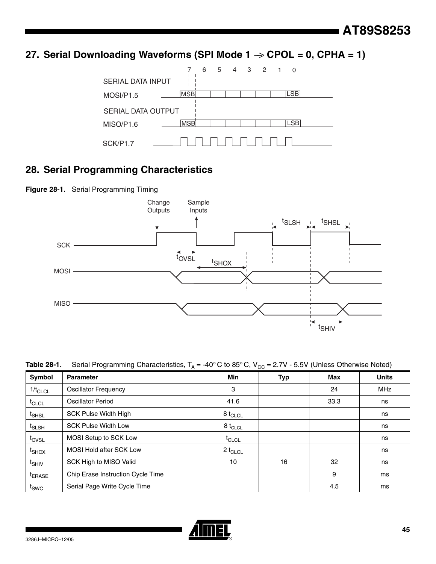27. Serial Downloading Waveforms (SPI Mode 1  $\rightarrow$  CPOL = 0, CPHA = 1)



# **28. Serial Programming Characteristics**

**Figure 28-1.** Serial Programming Timing



| Table 28-1.        | Serial Programming Characteristics, $T_A = -40^\circ$ C to 85°C, $V_{CC} = 2.7V - 5.5V$ (Unless Otherwise Noted) |                   |            |      |              |  |  |  |  |
|--------------------|------------------------------------------------------------------------------------------------------------------|-------------------|------------|------|--------------|--|--|--|--|
| Symbol             | <b>Parameter</b>                                                                                                 | Min               | <b>Typ</b> | Max  | <b>Units</b> |  |  |  |  |
| $1/t_{CLCL}$       | <b>Oscillator Frequency</b>                                                                                      | 3                 |            | 24   | <b>MHz</b>   |  |  |  |  |
| $t_{CLCL}$         | <b>Oscillator Period</b>                                                                                         | 41.6              |            | 33.3 | ns           |  |  |  |  |
| <sup>t</sup> SHSL  | <b>SCK Pulse Width High</b>                                                                                      | $8 t_{CLCL}$      |            |      | ns           |  |  |  |  |
| <sup>t</sup> SLSH  | <b>SCK Pulse Width Low</b>                                                                                       | $8 t_{CLCL}$      |            |      | ns           |  |  |  |  |
| t <sub>ovsL</sub>  | MOSI Setup to SCK Low                                                                                            | <sup>t</sup> CLCL |            |      | ns           |  |  |  |  |
| <sup>t</sup> SHOX  | <b>MOSI Hold after SCK Low</b>                                                                                   | $2 t_{CLCL}$      |            |      | ns           |  |  |  |  |
| t <sub>SHIV</sub>  | SCK High to MISO Valid                                                                                           | 10                | 16         | 32   | ns           |  |  |  |  |
| <sup>I</sup> ERASE | Chip Erase Instruction Cycle Time                                                                                |                   |            | 9    | ms           |  |  |  |  |
| $I_{SWC}$          | Serial Page Write Cycle Time                                                                                     |                   |            | 4.5  | ms           |  |  |  |  |

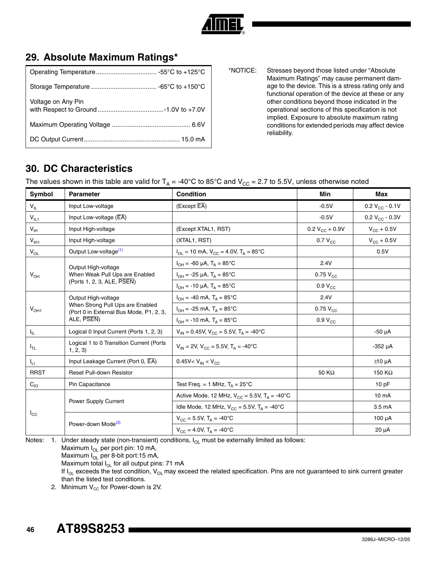

# **29. Absolute Maximum Ratings\***

| Voltage on Any Pin |
|--------------------|
|                    |
|                    |

\*NOTICE: Stresses beyond those listed under "Absolute Maximum Ratings" may cause permanent damage to the device. This is a stress rating only and functional operation of the device at these or any other conditions beyond those indicated in the operational sections of this specification is not implied. Exposure to absolute maximum rating conditions for extended periods may affect device reliability.

# **30. DC Characteristics**

The values shown in this table are valid for  $T_A = -40^{\circ}C$  to 85°C and  $V_{CC} = 2.7$  to 5.5V, unless otherwise noted

| Symbol          | <b>Parameter</b>                                                                                                 | <b>Condition</b>                                            | Min                    | Max                    |
|-----------------|------------------------------------------------------------------------------------------------------------------|-------------------------------------------------------------|------------------------|------------------------|
| $V_{\parallel}$ | Input Low-voltage                                                                                                | (Except EA)                                                 | $-0.5V$                | 0.2 $V_{CC}$ - 0.1V    |
| $V_{IL1}$       | Input Low-voltage $(\overline{\mathsf{EA}})$                                                                     |                                                             | $-0.5V$                | 0.2 $V_{CC}$ - 0.3V    |
| $V_{\text{IH}}$ | Input High-voltage                                                                                               | (Except XTAL1, RST)                                         | 0.2 $V_{CC}$ + 0.9V    | $V_{\text{CC}}$ + 0.5V |
| $V_{I H1}$      | Input High-voltage                                                                                               | (XTAL1, RST)                                                | $0.7 V_{CC}$           | $V_{\text{CC}} + 0.5V$ |
| $V_{OL}$        | Output Low-voltage <sup>(1)</sup>                                                                                | $I_{OL}$ = 10 mA, $V_{CC}$ = 4.0V, $T_A$ = 85°C             |                        | 0.5V                   |
|                 | Output High-voltage                                                                                              | $I_{OH} = -60 \mu A$ , $T_A = 85^{\circ}C$                  | 2.4V                   |                        |
| $V_{OH}$        | When Weak Pull Ups are Enabled                                                                                   | $I_{OH}$ = -25 µA, $T_{A}$ = 85°C                           | $0.75$ $V_{CC}$        |                        |
|                 | (Ports 1, 2, 3, ALE, PSEN)                                                                                       | $I_{OH}$ = -10 µA, T <sub>A</sub> = 85°C                    | $0.9 V_{CC}$           |                        |
|                 | Output High-voltage<br>When Strong Pull Ups are Enabled<br>(Port 0 in External Bus Mode, P1, 2, 3,<br>ALE, PSEN) | $I_{OH} = -40$ mA, $T_{A} = 85^{\circ}$ C                   | 2.4V                   |                        |
| $V_{OH1}$       |                                                                                                                  | $I_{OH}$ = -25 mA, $T_A$ = 85°C                             | $0.75$ V <sub>CC</sub> |                        |
|                 |                                                                                                                  | $I_{OH} = -10$ mA, $T_{A} = 85^{\circ}$ C                   | $0.9 V_{CC}$           |                        |
| Чı.             | Logical 0 Input Current (Ports 1, 2, 3)                                                                          | $V_{IN} = 0.45V$ , $V_{CC} = 5.5V$ , $T_A = -40^{\circ}C$   |                        | $-50 \mu A$            |
| $I_{TL}$        | Logical 1 to 0 Transition Current (Ports<br>1, 2, 3)                                                             | $V_{IN}$ = 2V, $V_{CC}$ = 5.5V, $T_A$ = -40°C               |                        | $-352$ $\mu$ A         |
| $I_{LI}$        | Input Leakage Current (Port 0, EA)                                                                               | 0.45V< $V_{IN}$ < $V_{CC}$                                  |                        | $±10 \mu A$            |
| <b>RRST</b>     | <b>Reset Pull-down Resistor</b>                                                                                  |                                                             | 50 $K\Omega$           | 150 $K\Omega$          |
| $C_{10}$        | Pin Capacitance                                                                                                  | Test Freq. = 1 MHz, $T_A = 25^{\circ}$ C                    |                        | 10pF                   |
|                 |                                                                                                                  | Active Mode, 12 MHz, $V_{CC} = 5.5V$ , $T_A = -40^{\circ}C$ |                        | 10 <sub>m</sub> A      |
|                 | <b>Power Supply Current</b>                                                                                      | Idle Mode, 12 MHz, $V_{CC} = 5.5V$ , $T_A = -40^{\circ}C$   |                        | 3.5 <sub>m</sub> A     |
| $I_{\rm CC}$    |                                                                                                                  | $V_{CC}$ = 5.5V, T <sub>A</sub> = -40°C                     |                        | $100 \mu A$            |
|                 | Power-down Mode <sup>(2)</sup>                                                                                   | $V_{CC} = 4.0V$ , $T_A = -40^{\circ}C$                      |                        | $20 \mu A$             |

<span id="page-45-1"></span>Notes: 1. Under steady state (non-transient) conditions,  $I_{OL}$  must be externally limited as follows: Maximum  $I_{OL}$  per port pin: 10 mA, Maximum  $I_{OL}$  per 8-bit port:15 mA,

Maximum total  $I_{OL}$  for all output pins: 71 mA

If  $I_{OL}$  exceeds the test condition,  $V_{OL}$  may exceed the related specification. Pins are not guaranteed to sink current greater than the listed test conditions.

<span id="page-45-0"></span>2. Minimum  $V_{CC}$  for Power-down is 2V.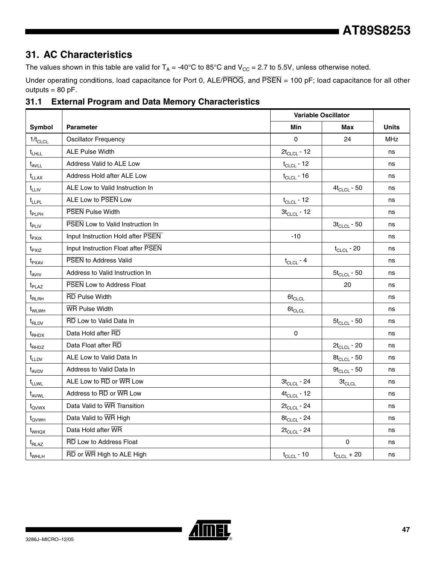# **31. AC Characteristics**

The values shown in this table are valid for  $T_A = -40^{\circ}C$  to 85°C and  $V_{CC} = 2.7$  to 5.5V, unless otherwise noted.

Under operating conditions, load capacitance for Port 0, ALE/PROG, and PSEN = 100 pF; load capacitance for all other outputs  $= 80$  pF.

|                   |                                         | <b>Variable Oscillator</b> |                  |              |
|-------------------|-----------------------------------------|----------------------------|------------------|--------------|
| Symbol            | <b>Parameter</b>                        | <b>Min</b>                 | Max              | <b>Units</b> |
| $1/t_{CLCL}$      | <b>Oscillator Frequency</b>             | $\Omega$                   | 24               | <b>MHz</b>   |
| $t_{LHLL}$        | <b>ALE Pulse Width</b>                  | $2t_{CLCL}$ - 12           |                  | ns           |
| $t_{AVLL}$        | Address Valid to ALE Low                | $t_{CLCL}$ - 12            |                  | ns           |
| $t_{LLAX}$        | Address Hold after ALE Low              | $t_{CLCL}$ - 16            |                  | ns           |
| $t_{LLIV}$        | ALE Low to Valid Instruction In         |                            | $4t_{CLCL}$ - 50 | ns           |
| $t_{LLPL}$        | ALE Low to PSEN Low                     | $t_{CLCL}$ - 12            |                  | ns           |
| $t_{\sf PLPH}$    | <b>PSEN</b> Pulse Width                 | $3t_{CLCL}$ - 12           |                  | ns           |
| $t_{\sf PLIV}$    | <b>PSEN Low to Valid Instruction In</b> |                            | $3t_{CLCL}$ - 50 | ns           |
| $t_{PXIX}$        | Input Instruction Hold after PSEN       | $-10$                      |                  | ns           |
| $t_{PXIZ}$        | Input Instruction Float after PSEN      |                            | $t_{CLCL}$ - 20  | ns           |
| $t_{\text{PXAV}}$ | <b>PSEN to Address Valid</b>            | $t_{CLCL}$ - 4             |                  | ns           |
| $t_{AVIV}$        | Address to Valid Instruction In         |                            | $5t_{CLCL}$ - 50 | ns           |
| $t_{\sf PLAZ}$    | <b>PSEN</b> Low to Address Float        |                            | 20               | ns           |
| $t_{RLRH}$        | <b>RD Pulse Width</b>                   | $6t_{CLCL}$                |                  | ns           |
| t <sub>WLWH</sub> | <b>WR Pulse Width</b>                   | $6t_{CLCL}$                |                  | ns           |
| $t_{RLDV}$        | RD Low to Valid Data In                 |                            | $5t_{CLCL}$ - 50 | ns           |
| $t_{RHDX}$        | Data Hold after RD                      | $\mathbf 0$                |                  | ns           |
| $t_{\text{RHDZ}}$ | Data Float after RD                     |                            | $2t_{CLCL} - 20$ | ns           |
| t <sub>LLDV</sub> | ALE Low to Valid Data In                |                            | $8t_{CLCL}$ - 50 | ns           |
| $t_{AVDV}$        | Address to Valid Data In                |                            | $9t_{CLCL}$ - 50 | ns           |
| t <sub>LLWL</sub> | ALE Low to RD or WR Low                 | $3t_{CLCL}$ - 24           | $3t_{CLCL}$      | ns           |
| t <sub>AVWL</sub> | Address to RD or WR Low                 | $4t_{CLCL}$ - 12           |                  | ns           |
| $t_{\text{QVWX}}$ | Data Valid to WR Transition             | $2t_{CLCL}$ - 24           |                  | ns           |
| t <sub>QVWH</sub> | Data Valid to WR High                   | $8t_{CLCL}$ - 24           |                  | ns           |
| $t_{WHQX}$        | Data Hold after WR                      | $2t_{CLCL}$ - 24           |                  | ns           |
| $t_{\text{RLAZ}}$ | <b>RD</b> Low to Address Float          |                            | $\Omega$         | ns           |
| $t_{WHLH}$        | RD or WR High to ALE High               | $t_{CLCL}$ - 10            | $t_{CLCL}$ + 20  | ns           |

# **31.1 External Program and Data Memory Characteristics**

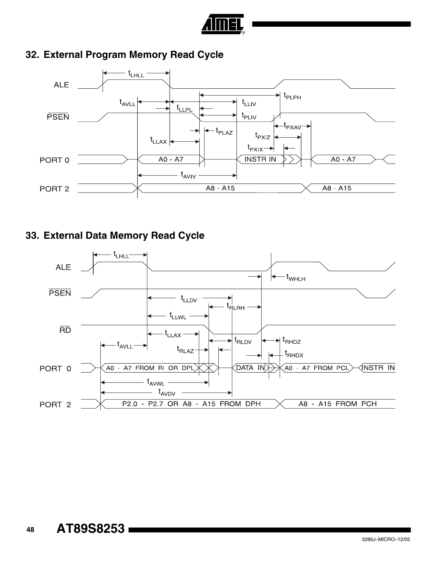

# **32. External Program Memory Read Cycle**



# **33. External Data Memory Read Cycle**

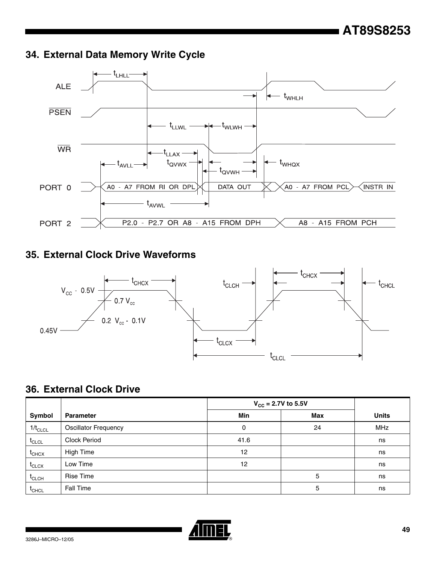# **34. External Data Memory Write Cycle**



# **35. External Clock Drive Waveforms**



# **36. External Clock Drive**

|                   |                             | $V_{CC}$ = 2.7V to 5.5V |     |              |
|-------------------|-----------------------------|-------------------------|-----|--------------|
| Symbol            | <b>Parameter</b>            | Min                     | Max | <b>Units</b> |
| $1/t_{CLCL}$      | <b>Oscillator Frequency</b> | 0                       | 24  | <b>MHz</b>   |
| $t_{CLCL}$        | Clock Period                | 41.6                    |     | ns           |
| $t_{CHCX}$        | High Time                   | 12                      |     | ns           |
| $t_{\text{CLCX}}$ | Low Time                    | 12                      |     | ns           |
| $t_{CLCH}$        | Rise Time                   |                         | 5   | ns           |
| $t_{\text{CHCL}}$ | Fall Time                   |                         | 5   | ns           |

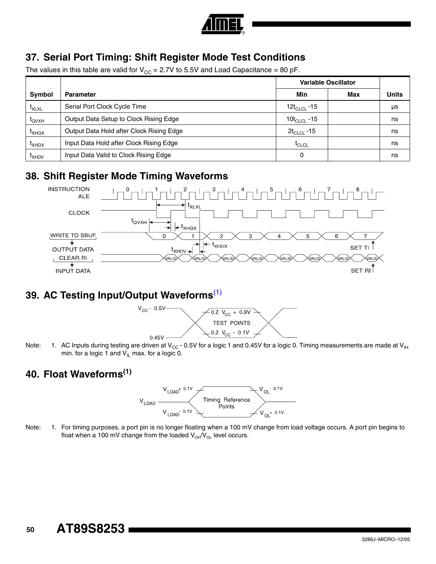

# **37. Serial Port Timing: Shift Register Mode Test Conditions**

The values in this table are valid for  $V_{CC} = 2.7V$  to 5.5V and Load Capacitance = 80 pF.

|                   |                                          | <b>Variable Oscillator</b> |     |              |
|-------------------|------------------------------------------|----------------------------|-----|--------------|
| Symbol            | <b>Parameter</b>                         | Min                        | Max | <b>Units</b> |
| $t_{XLXL}$        | Serial Port Clock Cycle Time             | 12t <sub>ci Cl</sub> -15   |     | μs           |
| $t_{\text{OVXH}}$ | Output Data Setup to Clock Rising Edge   | 10 $t_{CLCL}$ -15          |     | ns           |
| $I_{XHOX}$        | Output Data Hold after Clock Rising Edge | $2t_{CLCL}$ -15            |     | ns           |
| $I_{XHDX}$        | Input Data Hold after Clock Rising Edge  | $t_{CLCL}$                 |     | ns           |
| <sup>L</sup> XHDV | Input Data Valid to Clock Rising Edge    | 0                          |     | ns           |

# **38. Shift Register Mode Timing Waveforms**



# **39. AC Testing Input/Output Waveforms**[\(1\)](#page-49-0)



<span id="page-49-0"></span>Note: 1. AC Inputs during testing are driven at V<sub>CC</sub> - 0.5V for a logic 1 and 0.45V for a logic 0. Timing measurements are made at V<sub>IH</sub> min. for a logic 1 and  $V_{II}$  max. for a logic 0.

# **40. Float Waveforms(1)**



Note: 1. For timing purposes, a port pin is no longer floating when a 100 mV change from load voltage occurs. A port pin begins to float when a 100 mV change from the loaded  $V_{OH}/V_{OL}$  level occurs.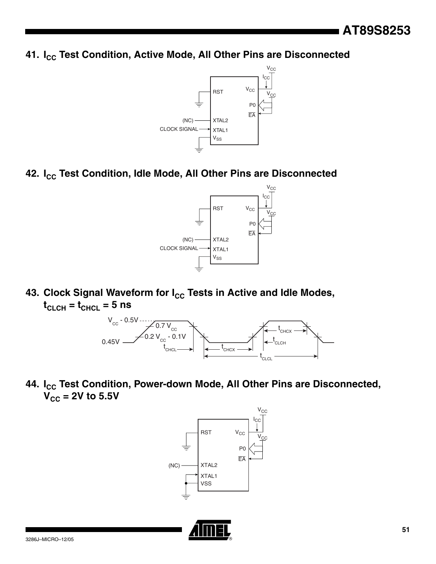**41. I<sub>CC</sub> Test Condition, Active Mode, All Other Pins are Disconnected** 



42. I<sub>cc</sub> Test Condition, Idle Mode, All Other Pins are Disconnected



43. Clock Signal Waveform for I<sub>CC</sub> Tests in Active and Idle Modes,  $t_{CLCH} = t_{CHCL} = 5$  ns



44. I<sub>CC</sub> Test Condition, Power-down Mode, All Other Pins are Disconnected,  $V_{CC}$  = 2V to 5.5V



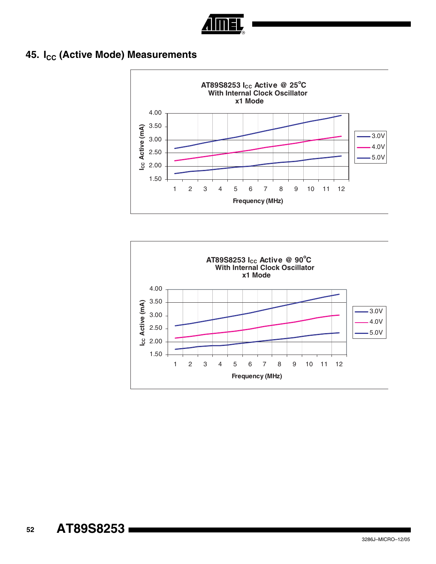

# **45. I<sub>CC</sub> (Active Mode) Measurements**



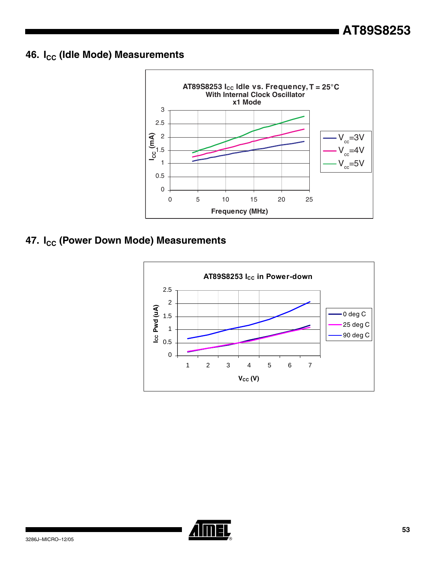# **46. I<sub>CC</sub> (Idle Mode) Measurements**



# **47. I<sub>CC</sub> (Power Down Mode) Measurements**



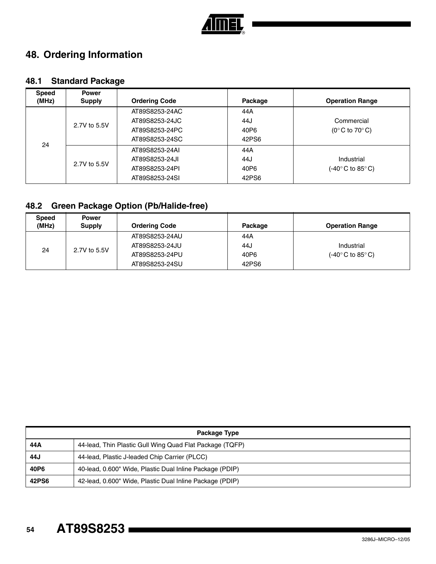

# **48. Ordering Information**

# **48.1 Standard Package**

| <b>Speed</b> | <b>Power</b>  |                      |         |                                    |
|--------------|---------------|----------------------|---------|------------------------------------|
| (MHz)        | <b>Supply</b> | <b>Ordering Code</b> | Package | <b>Operation Range</b>             |
| 24           | 2.7V to 5.5V  | AT89S8253-24AC       | 44A     |                                    |
|              |               | AT89S8253-24JC       | 44J     | Commercial                         |
|              |               | AT89S8253-24PC       | 40P6    | $(0^{\circ}$ C to 70 $^{\circ}$ C) |
|              |               | AT89S8253-24SC       | 42PS6   |                                    |
|              | 2.7V to 5.5V  | AT89S8253-24AI       | 44A     |                                    |
|              |               | AT89S8253-24JI       | 44J     | Industrial                         |
|              |               | AT89S8253-24PI       | 40P6    | (-40°C to 85°C)                    |
|              |               | AT89S8253-24SI       | 42PS6   |                                    |

# **48.2 Green Package Option (Pb/Halide-free)**

| <b>Speed</b><br>(MHz) | <b>Power</b><br><b>Supply</b> | <b>Ordering Code</b> | Package | <b>Operation Range</b> |
|-----------------------|-------------------------------|----------------------|---------|------------------------|
| 24                    | 2.7V to 5.5V                  | AT89S8253-24AU       | 44A     |                        |
|                       |                               | AT89S8253-24JU       | 44J     | Industrial             |
|                       |                               | AT89S8253-24PU       | 40P6    | (-40° C to 85° C).     |
|                       |                               | AT89S8253-24SU       | 42PS6   |                        |

| Package Type |                                                          |  |  |  |
|--------------|----------------------------------------------------------|--|--|--|
| 44 A         | 44-lead, Thin Plastic Gull Wing Quad Flat Package (TQFP) |  |  |  |
| 44J          | 44-lead, Plastic J-leaded Chip Carrier (PLCC)            |  |  |  |
| 40P6         | 40-lead, 0.600" Wide, Plastic Dual Inline Package (PDIP) |  |  |  |
| 42PS6        | 42-lead, 0.600" Wide, Plastic Dual Inline Package (PDIP) |  |  |  |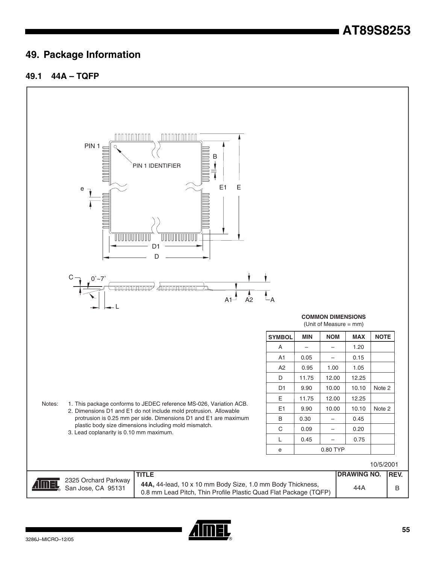# **49. Package Information**

### **49.1 44A – TQFP**



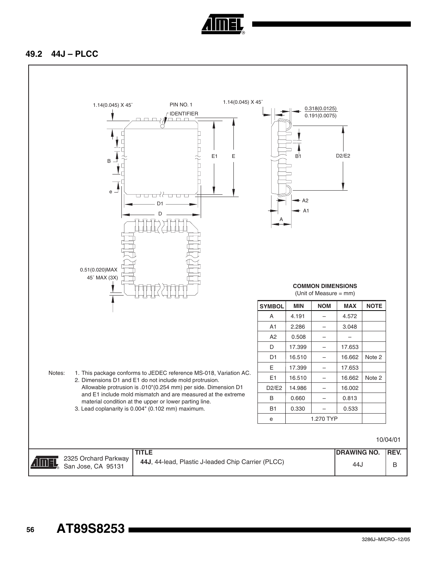

### **49.2 44J – PLCC**

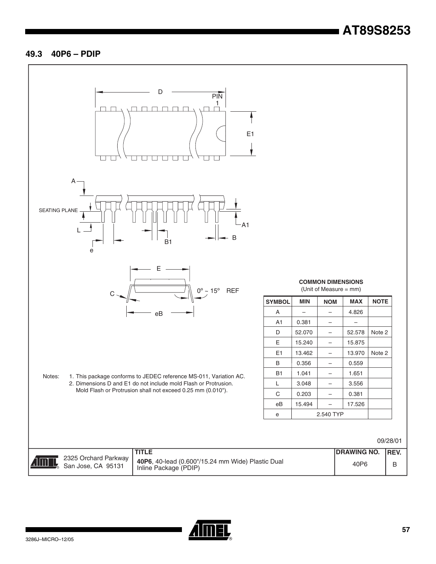# **AT89S8253**

#### **49.3 40P6 – PDIP**



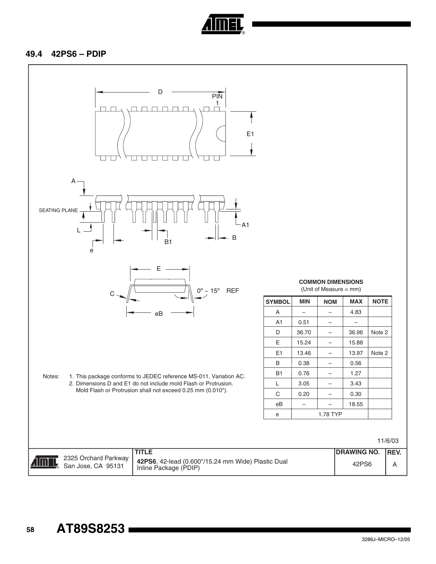

#### **49.4 42PS6 – PDIP**